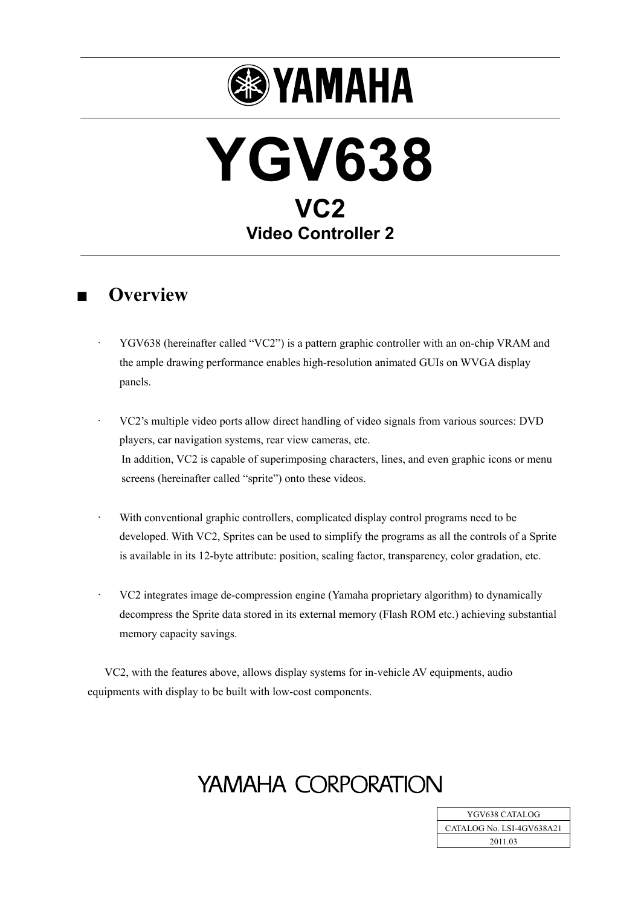

# **YGV638 VC2 Video Controller 2**

### **■ Overview**

- · YGV638 (hereinafter called "VC2") is a pattern graphic controller with an on-chip VRAM and the ample drawing performance enables high-resolution animated GUIs on WVGA display panels.
- · VC2's multiple video ports allow direct handling of video signals from various sources: DVD players, car navigation systems, rear view cameras, etc. In addition, VC2 is capable of superimposing characters, lines, and even graphic icons or menu screens (hereinafter called "sprite") onto these videos.
- With conventional graphic controllers, complicated display control programs need to be developed. With VC2, Sprites can be used to simplify the programs as all the controls of a Sprite is available in its 12-byte attribute: position, scaling factor, transparency, color gradation, etc.
- · VC2 integrates image de-compression engine (Yamaha proprietary algorithm) to dynamically decompress the Sprite data stored in its external memory (Flash ROM etc.) achieving substantial memory capacity savings.

VC2, with the features above, allows display systems for in-vehicle AV equipments, audio equipments with display to be built with low-cost components.

## YAMAHA CORPORATION

YGV638 CATALOG CATALOG No. LSI-4GV638A21 2011.03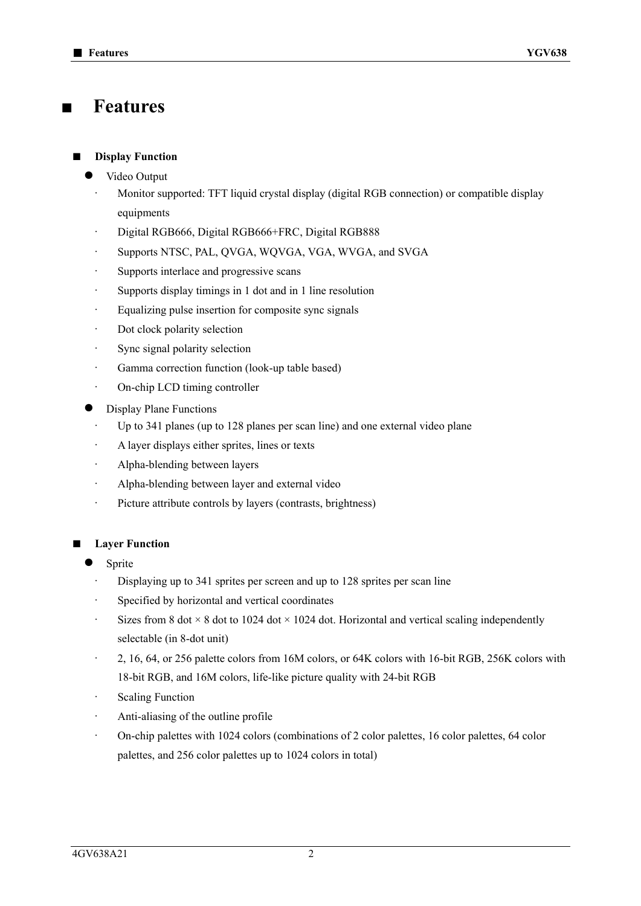### **■ Features**

### **Display Function**

- Video Output
- · Monitor supported: TFT liquid crystal display (digital RGB connection) or compatible display equipments
- · Digital RGB666, Digital RGB666+FRC, Digital RGB888
- Supports NTSC, PAL, QVGA, WQVGA, VGA, WVGA, and SVGA
- · Supports interlace and progressive scans
- · Supports display timings in 1 dot and in 1 line resolution
- · Equalizing pulse insertion for composite sync signals
- Dot clock polarity selection
- Sync signal polarity selection
- · Gamma correction function (look-up table based)
- On-chip LCD timing controller
- Display Plane Functions
	- Up to 341 planes (up to 128 planes per scan line) and one external video plane
	- A layer displays either sprites, lines or texts
	- · Alpha-blending between layers
	- Alpha-blending between layer and external video
	- · Picture attribute controls by layers (contrasts, brightness)

### **Layer Function**

- Sprite
- Displaying up to 341 sprites per screen and up to 128 sprites per scan line
- Specified by horizontal and vertical coordinates
- Sizes from 8 dot  $\times$  8 dot to 1024 dot  $\times$  1024 dot. Horizontal and vertical scaling independently selectable (in 8-dot unit)
- · 2, 16, 64, or 256 palette colors from 16M colors, or 64K colors with 16-bit RGB, 256K colors with 18-bit RGB, and 16M colors, life-like picture quality with 24-bit RGB
- · Scaling Function
- · Anti-aliasing of the outline profile
- · On-chip palettes with 1024 colors (combinations of 2 color palettes, 16 color palettes, 64 color palettes, and 256 color palettes up to 1024 colors in total)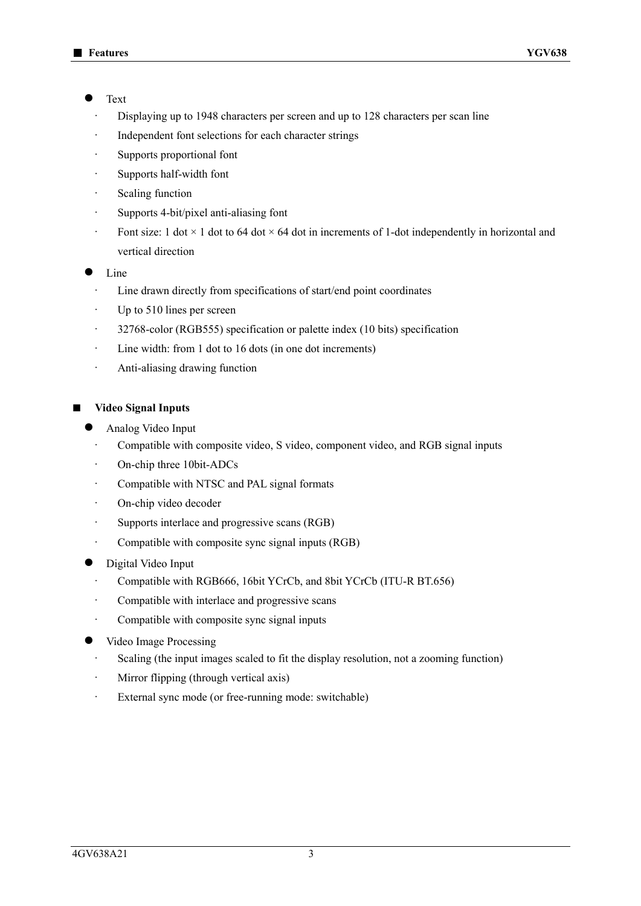#### **Text**

- Displaying up to 1948 characters per screen and up to 128 characters per scan line
- Independent font selections for each character strings
- Supports proportional font
- · Supports half-width font
- Scaling function
- · Supports 4-bit/pixel anti-aliasing font
- Font size: 1 dot  $\times$  1 dot to 64 dot  $\times$  64 dot in increments of 1-dot independently in horizontal and vertical direction
- Line
	- Line drawn directly from specifications of start/end point coordinates
	- · Up to 510 lines per screen
	- · 32768-color (RGB555) specification or palette index (10 bits) specification
	- · Line width: from 1 dot to 16 dots (in one dot increments)
	- · Anti-aliasing drawing function
- **Video Signal Inputs** 
	- Analog Video Input
	- Compatible with composite video, S video, component video, and RGB signal inputs
	- On-chip three 10bit-ADCs
	- Compatible with NTSC and PAL signal formats
	- · On-chip video decoder
	- · Supports interlace and progressive scans (RGB)
	- Compatible with composite sync signal inputs (RGB)
	- Digital Video Input
		- · Compatible with RGB666, 16bit YCrCb, and 8bit YCrCb (ITU-R BT.656)
		- · Compatible with interlace and progressive scans
		- Compatible with composite sync signal inputs
	- Video Image Processing
		- · Scaling (the input images scaled to fit the display resolution, not a zooming function)
		- · Mirror flipping (through vertical axis)
		- · External sync mode (or free-running mode: switchable)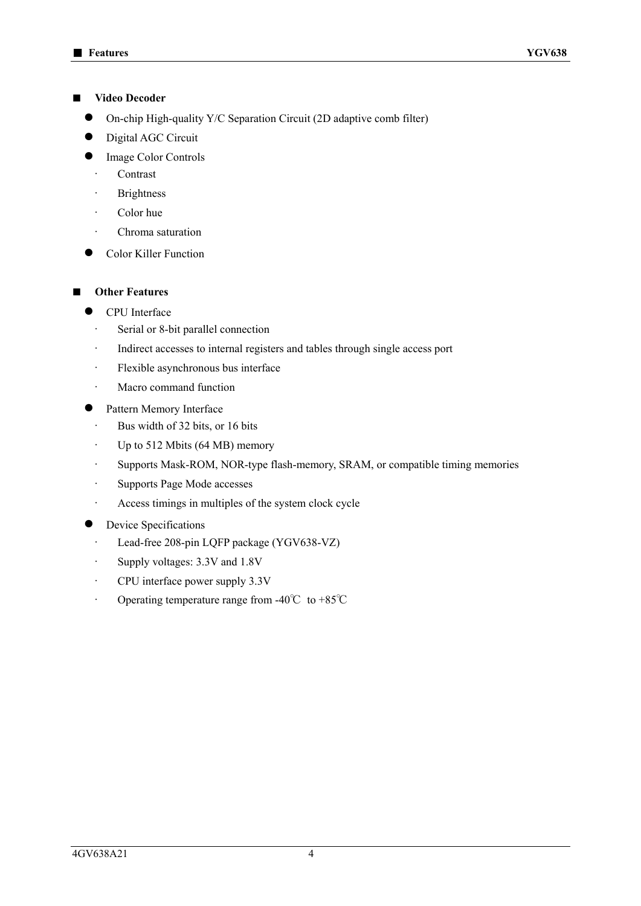#### ■ **Video Decoder**

- On-chip High-quality Y/C Separation Circuit (2D adaptive comb filter)
- Digital AGC Circuit
- Image Color Controls
	- **Contrast**
	- **Brightness**
	- Color hue
	- Chroma saturation
- Color Killer Function
- **Other Features** 
	- CPU Interface
		- Serial or 8-bit parallel connection
		- Indirect accesses to internal registers and tables through single access port
		- · Flexible asynchronous bus interface
		- Macro command function
	- Pattern Memory Interface
		- · Bus width of 32 bits, or 16 bits
		- $\cdot$  Up to 512 Mbits (64 MB) memory
		- · Supports Mask-ROM, NOR-type flash-memory, SRAM, or compatible timing memories
		- · Supports Page Mode accesses
		- · Access timings in multiples of the system clock cycle
	- Device Specifications
		- · Lead-free 208-pin LQFP package (YGV638-VZ)
		- · Supply voltages: 3.3V and 1.8V
		- · CPU interface power supply 3.3V
		- · Operating temperature range from -40℃ to +85℃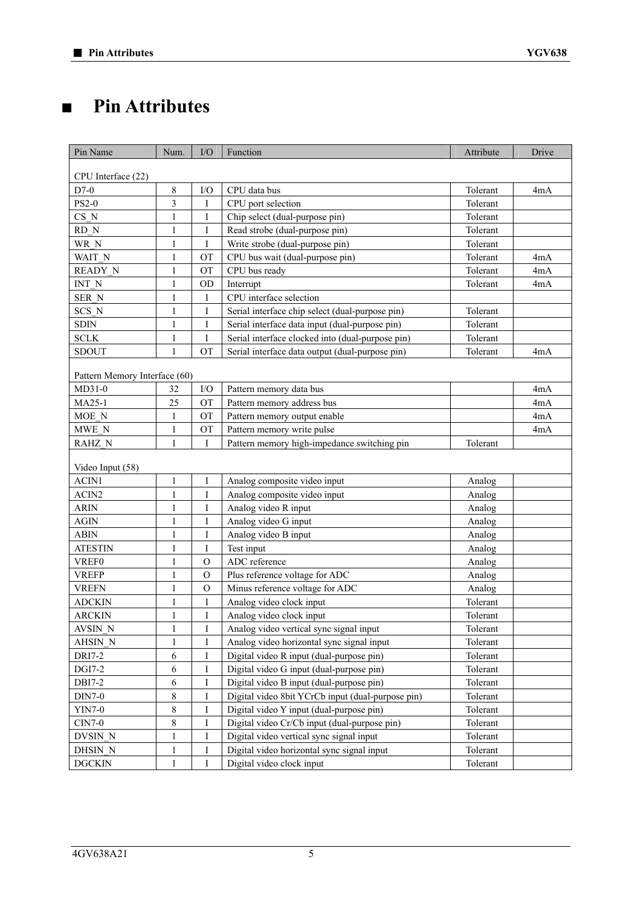### **■ Pin Attributes**

| Pin Name                      | Num.         | I/O           | Function                                          | Attribute | Drive |
|-------------------------------|--------------|---------------|---------------------------------------------------|-----------|-------|
|                               |              |               |                                                   |           |       |
| CPU Interface (22)            |              |               |                                                   |           |       |
| $D7-0$                        | $\,$ 8 $\,$  | I/O           | CPU data bus                                      | Tolerant  | 4mA   |
| <b>PS2-0</b>                  | 3            | I             | CPU port selection                                | Tolerant  |       |
| CS <sub>N</sub>               | $\mathbf{1}$ | I             | Chip select (dual-purpose pin)                    | Tolerant  |       |
| RD N                          | 1            | I             | Read strobe (dual-purpose pin)                    | Tolerant  |       |
| WR N                          | 1            | I             | Write strobe (dual-purpose pin)                   | Tolerant  |       |
| WAIT N                        | 1            | OT            | CPU bus wait (dual-purpose pin)                   | Tolerant  | 4mA   |
| <b>READY N</b>                | 1            | <b>OT</b>     | CPU bus ready                                     | Tolerant  | 4mA   |
| INT N                         | 1            | <b>OD</b>     | Interrupt                                         | Tolerant  | 4mA   |
| SER N                         | $\mathbf{1}$ | Ι             | CPU interface selection                           |           |       |
| SCS N                         | 1            | I             | Serial interface chip select (dual-purpose pin)   | Tolerant  |       |
| <b>SDIN</b>                   | $\mathbf{1}$ | I             | Serial interface data input (dual-purpose pin)    | Tolerant  |       |
| <b>SCLK</b>                   | 1            | I             | Serial interface clocked into (dual-purpose pin)  | Tolerant  |       |
| <b>SDOUT</b>                  | $\mathbf{1}$ | <b>OT</b>     | Serial interface data output (dual-purpose pin)   | Tolerant  | 4mA   |
| Pattern Memory Interface (60) |              |               |                                                   |           |       |
| $MD31-0$                      | 32           | I/O           | Pattern memory data bus                           |           | 4mA   |
| MA25-1                        | 25           | <b>OT</b>     | Pattern memory address bus                        |           | 4mA   |
| MOE N                         | 1            | <b>OT</b>     | Pattern memory output enable                      |           | 4mA   |
| MWE N                         | $\mathbf{1}$ | <b>OT</b>     | Pattern memory write pulse                        |           | 4mA   |
| RAHZ N                        | $\mathbf{1}$ | I             | Pattern memory high-impedance switching pin       | Tolerant  |       |
| Video Input (58)              |              |               |                                                   |           |       |
| ACIN1                         | $\mathbf{1}$ | I             | Analog composite video input                      | Analog    |       |
| ACIN2                         | $\mathbf{1}$ | I             | Analog composite video input                      | Analog    |       |
| <b>ARIN</b>                   | 1            | Ι             | Analog video R input                              | Analog    |       |
| <b>AGIN</b>                   | $\mathbf{1}$ | I             | Analog video G input                              | Analog    |       |
| <b>ABIN</b>                   | 1            | Ι             | Analog video B input                              | Analog    |       |
| <b>ATESTIN</b>                | 1            | I             | Test input                                        | Analog    |       |
| VREF0                         | 1            | $\Omega$      | ADC reference                                     | Analog    |       |
| <b>VREFP</b>                  | 1            | $\mathcal{O}$ | Plus reference voltage for ADC                    | Analog    |       |
| <b>VREFN</b>                  | 1            | $\Omega$      | Minus reference voltage for ADC                   | Analog    |       |
| <b>ADCKIN</b>                 | 1            | I             | Analog video clock input                          | Tolerant  |       |
| <b>ARCKIN</b>                 | $\mathbf{1}$ | I             | Analog video clock input                          | Tolerant  |       |
| AVSIN_N                       | $\mathbf{1}$ | I             | Analog video vertical sync signal input           | Tolerant  |       |
| <b>AHSIN N</b>                | $\mathbf{1}$ | I             | Analog video horizontal sync signal input         | Tolerant  |       |
| <b>DRI7-2</b>                 | 6            | I             | Digital video R input (dual-purpose pin)          | Tolerant  |       |
| <b>DGI7-2</b>                 | 6            | I             | Digital video G input (dual-purpose pin)          | Tolerant  |       |
| DBI7-2                        | 6            | Ι             | Digital video B input (dual-purpose pin)          | Tolerant  |       |
| <b>DIN7-0</b>                 | 8            | Ι             | Digital video 8bit YCrCb input (dual-purpose pin) | Tolerant  |       |
| <b>YIN7-0</b>                 | 8            | Ι             | Digital video Y input (dual-purpose pin)          | Tolerant  |       |
| $CIN7-0$                      | 8            | Ι             | Digital video Cr/Cb input (dual-purpose pin)      | Tolerant  |       |
| DVSIN N                       |              |               | Digital video vertical sync signal input          |           |       |
|                               | 1            | Ι             |                                                   | Tolerant  |       |
| DHSIN N                       | 1            | Ι             | Digital video horizontal sync signal input        | Tolerant  |       |
| <b>DGCKIN</b>                 | $\mathbf{1}$ | $\mathbf I$   | Digital video clock input                         | Tolerant  |       |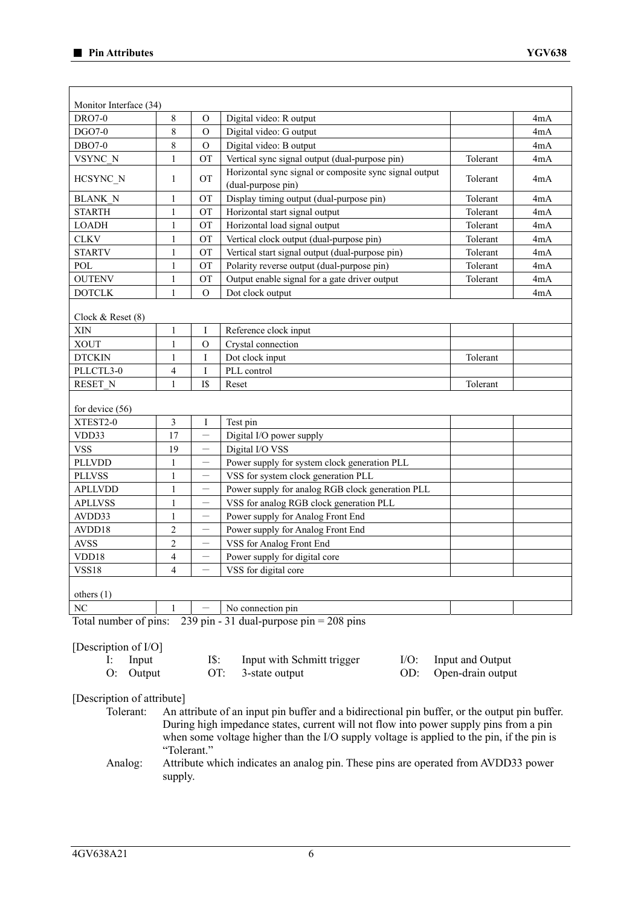| 8<br>Digital video: R output<br><b>DRO7-0</b><br>$\Omega$<br>8<br>DGO7-0<br>$\mathcal{O}$<br>Digital video: G output<br>8<br><b>DBO7-0</b><br>$\Omega$<br>Digital video: B output<br>$\mathbf{1}$<br>VSYNC N<br>OT<br>Vertical sync signal output (dual-purpose pin)<br>Horizontal sync signal or composite sync signal output<br><b>OT</b><br>HCSYNC N<br>$\mathbf{1}$<br>(dual-purpose pin)<br>Display timing output (dual-purpose pin)<br><b>BLANK N</b><br><b>OT</b><br>1<br><b>STARTH</b><br>$\mathbf{1}$<br><b>OT</b><br>Horizontal start signal output<br><b>LOADH</b><br>$\mathbf{1}$<br>OT<br>Horizontal load signal output<br><b>CLKV</b><br>OT<br>Vertical clock output (dual-purpose pin)<br>1<br><b>STARTV</b><br>Vertical start signal output (dual-purpose pin)<br>OT<br>1<br>POL<br>Polarity reverse output (dual-purpose pin)<br>$\mathbf{1}$<br>OT<br>Output enable signal for a gate driver output<br><b>OUTENV</b><br>OT<br>1<br>$\mathbf{1}$<br>$\mathcal{O}$<br><b>DOTCLK</b><br>Dot clock output<br>Clock $&$ Reset $(8)$<br>XIN<br>I<br>Reference clock input<br>1<br><b>XOUT</b><br>$\mathbf{1}$<br>$\mathcal{O}$<br>Crystal connection<br>$\mathbf{1}$<br>I<br>Dot clock input<br><b>DTCKIN</b><br>PLL control<br>PLLCTL3-0<br>4<br>Ι<br>$\mathbf{1}$<br>I\$<br>RESET N<br>Reset<br>for device $(56)$<br>3<br>XTEST2-0<br>$\mathbf I$<br>Test pin<br>17<br>VDD33<br>Digital I/O power supply<br>—<br><b>VSS</b><br>19<br>Digital I/O VSS<br>—<br><b>PLLVDD</b><br>$\mathbf{1}$<br>Power supply for system clock generation PLL<br>$\mathbf{1}$<br>VSS for system clock generation PLL<br><b>PLLVSS</b><br>—<br><b>APLLVDD</b><br>Power supply for analog RGB clock generation PLL<br>$\mathbf{1}$<br>$\qquad \qquad -$<br>VSS for analog RGB clock generation PLL<br><b>APLLVSS</b><br>$\mathbf{1}$<br>—<br>AVDD33<br>Power supply for Analog Front End<br>1<br>$\qquad \qquad -$<br>AVDD18<br>$\overline{c}$<br>Power supply for Analog Front End<br>$\overline{\phantom{0}}$<br><b>AVSS</b><br>$\overline{c}$<br>VSS for Analog Front End<br>$\qquad \qquad -$<br>4<br>VDD18<br>Power supply for digital core<br>$\qquad \qquad$<br><b>VSS18</b><br>$\lambda$<br>VSS for digital core<br>others $(1)$<br>No connection pin<br>$\rm NC$<br>Total number of pins:<br>239 pin - 31 dual-purpose pin = $208$ pins<br>[Description of I/O]<br>IS:<br>Input<br>Input with Schmitt trigger<br>Е.<br>OT:<br>O:<br>Output<br>3-state output |         |                         |
|----------------------------------------------------------------------------------------------------------------------------------------------------------------------------------------------------------------------------------------------------------------------------------------------------------------------------------------------------------------------------------------------------------------------------------------------------------------------------------------------------------------------------------------------------------------------------------------------------------------------------------------------------------------------------------------------------------------------------------------------------------------------------------------------------------------------------------------------------------------------------------------------------------------------------------------------------------------------------------------------------------------------------------------------------------------------------------------------------------------------------------------------------------------------------------------------------------------------------------------------------------------------------------------------------------------------------------------------------------------------------------------------------------------------------------------------------------------------------------------------------------------------------------------------------------------------------------------------------------------------------------------------------------------------------------------------------------------------------------------------------------------------------------------------------------------------------------------------------------------------------------------------------------------------------------------------------------------------------------------------------------------------------------------------------------------------------------------------------------------------------------------------------------------------------------------------------------------------------------------------------------------------------------------------------------------------------------------------------------------------------------------------------------------------------------------------------------------|---------|-------------------------|
|                                                                                                                                                                                                                                                                                                                                                                                                                                                                                                                                                                                                                                                                                                                                                                                                                                                                                                                                                                                                                                                                                                                                                                                                                                                                                                                                                                                                                                                                                                                                                                                                                                                                                                                                                                                                                                                                                                                                                                                                                                                                                                                                                                                                                                                                                                                                                                                                                                                                |         | 4mA                     |
|                                                                                                                                                                                                                                                                                                                                                                                                                                                                                                                                                                                                                                                                                                                                                                                                                                                                                                                                                                                                                                                                                                                                                                                                                                                                                                                                                                                                                                                                                                                                                                                                                                                                                                                                                                                                                                                                                                                                                                                                                                                                                                                                                                                                                                                                                                                                                                                                                                                                |         | 4mA                     |
|                                                                                                                                                                                                                                                                                                                                                                                                                                                                                                                                                                                                                                                                                                                                                                                                                                                                                                                                                                                                                                                                                                                                                                                                                                                                                                                                                                                                                                                                                                                                                                                                                                                                                                                                                                                                                                                                                                                                                                                                                                                                                                                                                                                                                                                                                                                                                                                                                                                                |         | 4mA                     |
|                                                                                                                                                                                                                                                                                                                                                                                                                                                                                                                                                                                                                                                                                                                                                                                                                                                                                                                                                                                                                                                                                                                                                                                                                                                                                                                                                                                                                                                                                                                                                                                                                                                                                                                                                                                                                                                                                                                                                                                                                                                                                                                                                                                                                                                                                                                                                                                                                                                                |         | Tolerant<br>4mA         |
|                                                                                                                                                                                                                                                                                                                                                                                                                                                                                                                                                                                                                                                                                                                                                                                                                                                                                                                                                                                                                                                                                                                                                                                                                                                                                                                                                                                                                                                                                                                                                                                                                                                                                                                                                                                                                                                                                                                                                                                                                                                                                                                                                                                                                                                                                                                                                                                                                                                                |         | Tolerant<br>4mA         |
|                                                                                                                                                                                                                                                                                                                                                                                                                                                                                                                                                                                                                                                                                                                                                                                                                                                                                                                                                                                                                                                                                                                                                                                                                                                                                                                                                                                                                                                                                                                                                                                                                                                                                                                                                                                                                                                                                                                                                                                                                                                                                                                                                                                                                                                                                                                                                                                                                                                                |         | Tolerant<br>4mA         |
|                                                                                                                                                                                                                                                                                                                                                                                                                                                                                                                                                                                                                                                                                                                                                                                                                                                                                                                                                                                                                                                                                                                                                                                                                                                                                                                                                                                                                                                                                                                                                                                                                                                                                                                                                                                                                                                                                                                                                                                                                                                                                                                                                                                                                                                                                                                                                                                                                                                                |         | Tolerant<br>4mA         |
|                                                                                                                                                                                                                                                                                                                                                                                                                                                                                                                                                                                                                                                                                                                                                                                                                                                                                                                                                                                                                                                                                                                                                                                                                                                                                                                                                                                                                                                                                                                                                                                                                                                                                                                                                                                                                                                                                                                                                                                                                                                                                                                                                                                                                                                                                                                                                                                                                                                                |         | Tolerant<br>4mA         |
|                                                                                                                                                                                                                                                                                                                                                                                                                                                                                                                                                                                                                                                                                                                                                                                                                                                                                                                                                                                                                                                                                                                                                                                                                                                                                                                                                                                                                                                                                                                                                                                                                                                                                                                                                                                                                                                                                                                                                                                                                                                                                                                                                                                                                                                                                                                                                                                                                                                                |         | Tolerant<br>4mA         |
|                                                                                                                                                                                                                                                                                                                                                                                                                                                                                                                                                                                                                                                                                                                                                                                                                                                                                                                                                                                                                                                                                                                                                                                                                                                                                                                                                                                                                                                                                                                                                                                                                                                                                                                                                                                                                                                                                                                                                                                                                                                                                                                                                                                                                                                                                                                                                                                                                                                                |         | Tolerant<br>4mA         |
|                                                                                                                                                                                                                                                                                                                                                                                                                                                                                                                                                                                                                                                                                                                                                                                                                                                                                                                                                                                                                                                                                                                                                                                                                                                                                                                                                                                                                                                                                                                                                                                                                                                                                                                                                                                                                                                                                                                                                                                                                                                                                                                                                                                                                                                                                                                                                                                                                                                                |         | Tolerant<br>4mA         |
|                                                                                                                                                                                                                                                                                                                                                                                                                                                                                                                                                                                                                                                                                                                                                                                                                                                                                                                                                                                                                                                                                                                                                                                                                                                                                                                                                                                                                                                                                                                                                                                                                                                                                                                                                                                                                                                                                                                                                                                                                                                                                                                                                                                                                                                                                                                                                                                                                                                                |         | Tolerant<br>4mA         |
|                                                                                                                                                                                                                                                                                                                                                                                                                                                                                                                                                                                                                                                                                                                                                                                                                                                                                                                                                                                                                                                                                                                                                                                                                                                                                                                                                                                                                                                                                                                                                                                                                                                                                                                                                                                                                                                                                                                                                                                                                                                                                                                                                                                                                                                                                                                                                                                                                                                                |         | 4mA                     |
|                                                                                                                                                                                                                                                                                                                                                                                                                                                                                                                                                                                                                                                                                                                                                                                                                                                                                                                                                                                                                                                                                                                                                                                                                                                                                                                                                                                                                                                                                                                                                                                                                                                                                                                                                                                                                                                                                                                                                                                                                                                                                                                                                                                                                                                                                                                                                                                                                                                                |         |                         |
|                                                                                                                                                                                                                                                                                                                                                                                                                                                                                                                                                                                                                                                                                                                                                                                                                                                                                                                                                                                                                                                                                                                                                                                                                                                                                                                                                                                                                                                                                                                                                                                                                                                                                                                                                                                                                                                                                                                                                                                                                                                                                                                                                                                                                                                                                                                                                                                                                                                                |         |                         |
|                                                                                                                                                                                                                                                                                                                                                                                                                                                                                                                                                                                                                                                                                                                                                                                                                                                                                                                                                                                                                                                                                                                                                                                                                                                                                                                                                                                                                                                                                                                                                                                                                                                                                                                                                                                                                                                                                                                                                                                                                                                                                                                                                                                                                                                                                                                                                                                                                                                                |         |                         |
|                                                                                                                                                                                                                                                                                                                                                                                                                                                                                                                                                                                                                                                                                                                                                                                                                                                                                                                                                                                                                                                                                                                                                                                                                                                                                                                                                                                                                                                                                                                                                                                                                                                                                                                                                                                                                                                                                                                                                                                                                                                                                                                                                                                                                                                                                                                                                                                                                                                                |         | Tolerant                |
|                                                                                                                                                                                                                                                                                                                                                                                                                                                                                                                                                                                                                                                                                                                                                                                                                                                                                                                                                                                                                                                                                                                                                                                                                                                                                                                                                                                                                                                                                                                                                                                                                                                                                                                                                                                                                                                                                                                                                                                                                                                                                                                                                                                                                                                                                                                                                                                                                                                                |         |                         |
|                                                                                                                                                                                                                                                                                                                                                                                                                                                                                                                                                                                                                                                                                                                                                                                                                                                                                                                                                                                                                                                                                                                                                                                                                                                                                                                                                                                                                                                                                                                                                                                                                                                                                                                                                                                                                                                                                                                                                                                                                                                                                                                                                                                                                                                                                                                                                                                                                                                                |         | Tolerant                |
|                                                                                                                                                                                                                                                                                                                                                                                                                                                                                                                                                                                                                                                                                                                                                                                                                                                                                                                                                                                                                                                                                                                                                                                                                                                                                                                                                                                                                                                                                                                                                                                                                                                                                                                                                                                                                                                                                                                                                                                                                                                                                                                                                                                                                                                                                                                                                                                                                                                                |         |                         |
|                                                                                                                                                                                                                                                                                                                                                                                                                                                                                                                                                                                                                                                                                                                                                                                                                                                                                                                                                                                                                                                                                                                                                                                                                                                                                                                                                                                                                                                                                                                                                                                                                                                                                                                                                                                                                                                                                                                                                                                                                                                                                                                                                                                                                                                                                                                                                                                                                                                                |         |                         |
|                                                                                                                                                                                                                                                                                                                                                                                                                                                                                                                                                                                                                                                                                                                                                                                                                                                                                                                                                                                                                                                                                                                                                                                                                                                                                                                                                                                                                                                                                                                                                                                                                                                                                                                                                                                                                                                                                                                                                                                                                                                                                                                                                                                                                                                                                                                                                                                                                                                                |         |                         |
|                                                                                                                                                                                                                                                                                                                                                                                                                                                                                                                                                                                                                                                                                                                                                                                                                                                                                                                                                                                                                                                                                                                                                                                                                                                                                                                                                                                                                                                                                                                                                                                                                                                                                                                                                                                                                                                                                                                                                                                                                                                                                                                                                                                                                                                                                                                                                                                                                                                                |         |                         |
|                                                                                                                                                                                                                                                                                                                                                                                                                                                                                                                                                                                                                                                                                                                                                                                                                                                                                                                                                                                                                                                                                                                                                                                                                                                                                                                                                                                                                                                                                                                                                                                                                                                                                                                                                                                                                                                                                                                                                                                                                                                                                                                                                                                                                                                                                                                                                                                                                                                                |         |                         |
|                                                                                                                                                                                                                                                                                                                                                                                                                                                                                                                                                                                                                                                                                                                                                                                                                                                                                                                                                                                                                                                                                                                                                                                                                                                                                                                                                                                                                                                                                                                                                                                                                                                                                                                                                                                                                                                                                                                                                                                                                                                                                                                                                                                                                                                                                                                                                                                                                                                                |         |                         |
|                                                                                                                                                                                                                                                                                                                                                                                                                                                                                                                                                                                                                                                                                                                                                                                                                                                                                                                                                                                                                                                                                                                                                                                                                                                                                                                                                                                                                                                                                                                                                                                                                                                                                                                                                                                                                                                                                                                                                                                                                                                                                                                                                                                                                                                                                                                                                                                                                                                                |         |                         |
|                                                                                                                                                                                                                                                                                                                                                                                                                                                                                                                                                                                                                                                                                                                                                                                                                                                                                                                                                                                                                                                                                                                                                                                                                                                                                                                                                                                                                                                                                                                                                                                                                                                                                                                                                                                                                                                                                                                                                                                                                                                                                                                                                                                                                                                                                                                                                                                                                                                                |         |                         |
|                                                                                                                                                                                                                                                                                                                                                                                                                                                                                                                                                                                                                                                                                                                                                                                                                                                                                                                                                                                                                                                                                                                                                                                                                                                                                                                                                                                                                                                                                                                                                                                                                                                                                                                                                                                                                                                                                                                                                                                                                                                                                                                                                                                                                                                                                                                                                                                                                                                                |         |                         |
|                                                                                                                                                                                                                                                                                                                                                                                                                                                                                                                                                                                                                                                                                                                                                                                                                                                                                                                                                                                                                                                                                                                                                                                                                                                                                                                                                                                                                                                                                                                                                                                                                                                                                                                                                                                                                                                                                                                                                                                                                                                                                                                                                                                                                                                                                                                                                                                                                                                                |         |                         |
|                                                                                                                                                                                                                                                                                                                                                                                                                                                                                                                                                                                                                                                                                                                                                                                                                                                                                                                                                                                                                                                                                                                                                                                                                                                                                                                                                                                                                                                                                                                                                                                                                                                                                                                                                                                                                                                                                                                                                                                                                                                                                                                                                                                                                                                                                                                                                                                                                                                                |         |                         |
|                                                                                                                                                                                                                                                                                                                                                                                                                                                                                                                                                                                                                                                                                                                                                                                                                                                                                                                                                                                                                                                                                                                                                                                                                                                                                                                                                                                                                                                                                                                                                                                                                                                                                                                                                                                                                                                                                                                                                                                                                                                                                                                                                                                                                                                                                                                                                                                                                                                                |         |                         |
|                                                                                                                                                                                                                                                                                                                                                                                                                                                                                                                                                                                                                                                                                                                                                                                                                                                                                                                                                                                                                                                                                                                                                                                                                                                                                                                                                                                                                                                                                                                                                                                                                                                                                                                                                                                                                                                                                                                                                                                                                                                                                                                                                                                                                                                                                                                                                                                                                                                                |         |                         |
|                                                                                                                                                                                                                                                                                                                                                                                                                                                                                                                                                                                                                                                                                                                                                                                                                                                                                                                                                                                                                                                                                                                                                                                                                                                                                                                                                                                                                                                                                                                                                                                                                                                                                                                                                                                                                                                                                                                                                                                                                                                                                                                                                                                                                                                                                                                                                                                                                                                                |         |                         |
|                                                                                                                                                                                                                                                                                                                                                                                                                                                                                                                                                                                                                                                                                                                                                                                                                                                                                                                                                                                                                                                                                                                                                                                                                                                                                                                                                                                                                                                                                                                                                                                                                                                                                                                                                                                                                                                                                                                                                                                                                                                                                                                                                                                                                                                                                                                                                                                                                                                                |         |                         |
|                                                                                                                                                                                                                                                                                                                                                                                                                                                                                                                                                                                                                                                                                                                                                                                                                                                                                                                                                                                                                                                                                                                                                                                                                                                                                                                                                                                                                                                                                                                                                                                                                                                                                                                                                                                                                                                                                                                                                                                                                                                                                                                                                                                                                                                                                                                                                                                                                                                                |         |                         |
|                                                                                                                                                                                                                                                                                                                                                                                                                                                                                                                                                                                                                                                                                                                                                                                                                                                                                                                                                                                                                                                                                                                                                                                                                                                                                                                                                                                                                                                                                                                                                                                                                                                                                                                                                                                                                                                                                                                                                                                                                                                                                                                                                                                                                                                                                                                                                                                                                                                                | $I/O$ : | <b>Input and Output</b> |
| [Description of attribute]<br>Tolerant:<br>An attribute of an input pin buffer and a bidirectional pin buffer, or the output pin buffer.<br>During high impedance states, current will not flow into power supply pins from a pin<br>when some voltage higher than the I/O supply voltage is applied to the pin, if the pin is<br>"Tolerant."                                                                                                                                                                                                                                                                                                                                                                                                                                                                                                                                                                                                                                                                                                                                                                                                                                                                                                                                                                                                                                                                                                                                                                                                                                                                                                                                                                                                                                                                                                                                                                                                                                                                                                                                                                                                                                                                                                                                                                                                                                                                                                                  | OD:     | Open-drain output       |

Analog: Attribute which indicates an analog pin. These pins are operated from AVDD33 power supply.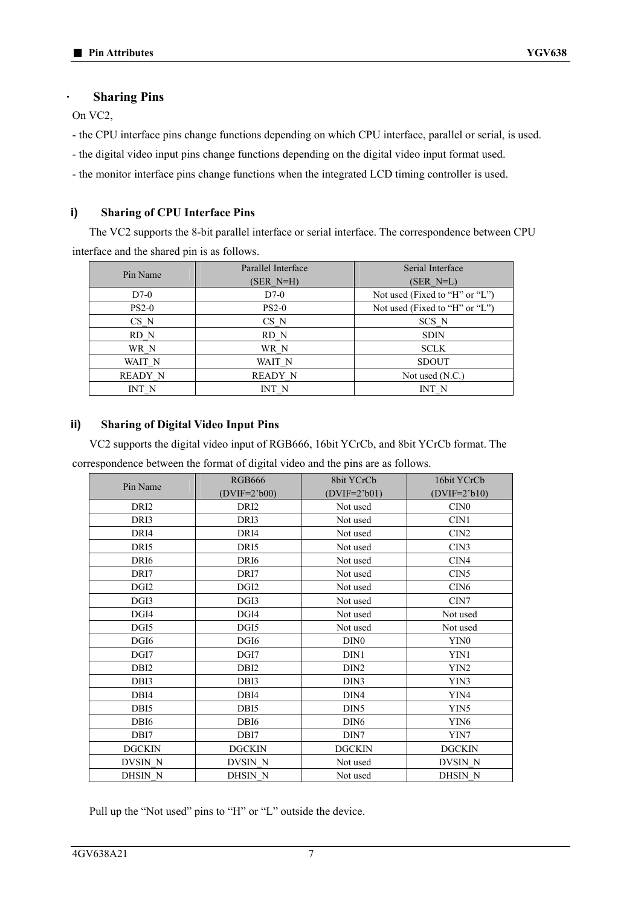#### **· Sharing Pins**

On VC2,

- the CPU interface pins change functions depending on which CPU interface, parallel or serial, is used.

- the digital video input pins change functions depending on the digital video input format used.

- the monitor interface pins change functions when the integrated LCD timing controller is used.

### **i) Sharing of CPU Interface Pins**

The VC2 supports the 8-bit parallel interface or serial interface. The correspondence between CPU interface and the shared pin is as follows.

| Pin Name       | Parallel Interface<br>(SER N=H) | Serial Interface<br>$(SER N=L)$ |
|----------------|---------------------------------|---------------------------------|
| $D7-0$         | $D7-0$                          | Not used (Fixed to "H" or "L")  |
| $PS2-0$        | $PS2-0$                         | Not used (Fixed to "H" or "L")  |
| CS N           | $CS_N$                          | SCS N                           |
| RD N           | RD N                            | <b>SDIN</b>                     |
| WR N           | WR N                            | <b>SCLK</b>                     |
| WAIT N         | WAIT N                          | <b>SDOUT</b>                    |
| <b>READY N</b> | <b>READY N</b>                  | Not used $(N.C.)$               |
| INT N          | INT N                           | INT N                           |

#### **ii) Sharing of Digital Video Input Pins**

VC2 supports the digital video input of RGB666, 16bit YCrCb, and 8bit YCrCb format. The correspondence between the format of digital video and the pins are as follows.

| Pin Name         | <b>RGB666</b><br>$(DVIF=23b00)$ | 8bit YCrCb       | 16bit YCrCb      |
|------------------|---------------------------------|------------------|------------------|
|                  |                                 | $(DVIF=23b01)$   | $(DVIF=23b10)$   |
| DRI <sub>2</sub> | DRI <sub>2</sub>                | Not used         | CIN0             |
| DRI3             | DRI3                            | Not used         | CIN1             |
| DRI4             | DRI4                            | Not used         | CIN <sub>2</sub> |
| DRI5             | DRI5                            | Not used         | CIN <sub>3</sub> |
| DRI <sub>6</sub> | DRI <sub>6</sub>                | Not used         | CIN4             |
| DRI7             | DRI7                            | Not used         | CIN <sub>5</sub> |
| DGI <sub>2</sub> | DGI <sub>2</sub>                | Not used         | CIN <sub>6</sub> |
| DGI3             | DGI3                            | Not used         | CIN7             |
| DGI4             | DGI4                            | Not used         | Not used         |
| DGI5             | DGI5                            | Not used         | Not used         |
| DGI <sub>6</sub> | DGI <sub>6</sub>                | DIN <sub>0</sub> | YIN0             |
| DGI7             | DGI7                            | DIN1             | YIN1             |
| DBI <sub>2</sub> | DB <sub>I2</sub>                | DIN <sub>2</sub> | YIN2             |
| DBI3             | DBI3                            | DIN3             | YIN3             |
| DBI4             | DBI4                            | DIN4             | YIN4             |
| DBI5             | DBI <sub>5</sub>                | DIN <sub>5</sub> | YIN5             |
| DBI <sub>6</sub> | DBI <sub>6</sub>                | DIN <sub>6</sub> | YIN <sub>6</sub> |
| DBI7             | DBI7                            | DIN7             | YIN7             |
| <b>DGCKIN</b>    | <b>DGCKIN</b>                   | <b>DGCKIN</b>    | <b>DGCKIN</b>    |
| DVSIN N          | DVSIN N                         | Not used         | DVSIN N          |
| DHSIN N          | DHSIN N                         | Not used         | DHSIN N          |

Pull up the "Not used" pins to "H" or "L" outside the device.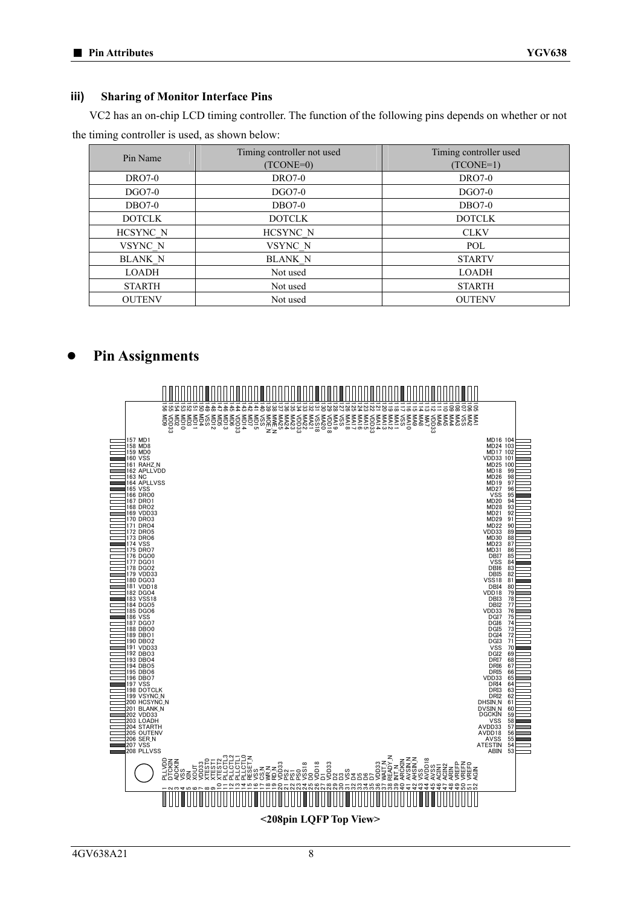#### **iii) Sharing of Monitor Interface Pins**

VC2 has an on-chip LCD timing controller. The function of the following pins depends on whether or not the timing controller is used, as shown below:

| Pin Name       | Timing controller not used | Timing controller used |
|----------------|----------------------------|------------------------|
|                | (TCONE=0)                  | $(TCONE=1)$            |
| <b>DRO7-0</b>  | <b>DRO7-0</b>              | <b>DRO7-0</b>          |
| $DGO7-0$       | $DGO7-0$                   | <b>DGO7-0</b>          |
| $DBO7-0$       | $DBO7-0$                   | $DBO7-0$               |
| <b>DOTCLK</b>  | <b>DOTCLK</b>              | <b>DOTCLK</b>          |
| HCSYNC N       | HCSYNC N                   | <b>CLKV</b>            |
| VSYNC N        | VSYNC N                    | POL                    |
| <b>BLANK N</b> | <b>BLANK N</b>             | <b>STARTV</b>          |
| LOADH          | Not used                   | <b>LOADH</b>           |
| <b>STARTH</b>  | Not used                   | <b>STARTH</b>          |
| <b>OUTENV</b>  | Not used                   | <b>OUTENV</b>          |

### **● Pin Assignments**

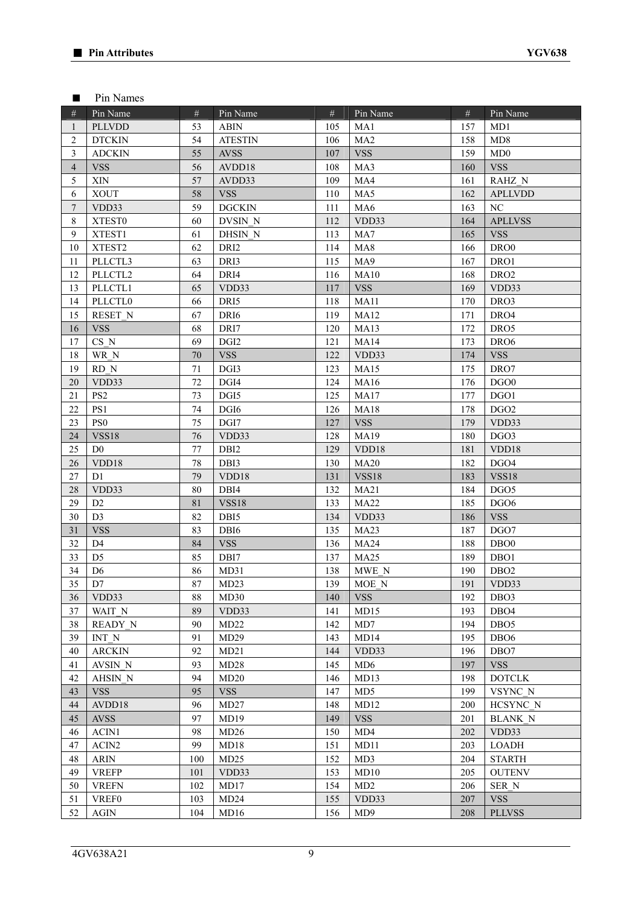#### ■ Pin Names

| #                        | Pin Name        | #      | Pin Name         | #   | Pin Name         | #   | Pin Name         |
|--------------------------|-----------------|--------|------------------|-----|------------------|-----|------------------|
| $\mathbf{1}$             | <b>PLLVDD</b>   | 53     | <b>ABIN</b>      | 105 | MA1              | 157 | MD1              |
| 2                        | <b>DTCKIN</b>   | 54     | <b>ATESTIN</b>   | 106 | MA <sub>2</sub>  | 158 | MD8              |
| 3                        | <b>ADCKIN</b>   | 55     | <b>AVSS</b>      | 107 | <b>VSS</b>       | 159 | MD0              |
| $\overline{\mathcal{A}}$ | <b>VSS</b>      | 56     | AVDD18           | 108 | MA3              | 160 | <b>VSS</b>       |
| 5                        | XIN             | 57     | AVDD33           | 109 | MA4              | 161 | RAHZ N           |
| 6                        | <b>XOUT</b>     | 58     | <b>VSS</b>       | 110 | MA5              | 162 | <b>APLLVDD</b>   |
| $\boldsymbol{7}$         | VDD33           | 59     | <b>DGCKIN</b>    | 111 | MA6              | 163 | $\rm NC$         |
| $\,8\,$                  | XTEST0          | 60     | DVSIN N          | 112 | VDD33            | 164 | <b>APLLVSS</b>   |
| 9                        | XTEST1          | 61     | DHSIN N          | 113 | MA7              | 165 | <b>VSS</b>       |
| 10                       | XTEST2          | 62     | DRI <sub>2</sub> | 114 | MA <sub>8</sub>  | 166 | DRO <sub>0</sub> |
| 11                       | PLLCTL3         | 63     | DRI3             | 115 | MA9              | 167 | DRO1             |
| 12                       | PLLCTL2         | 64     | DRI4             | 116 | MA10             | 168 | DRO <sub>2</sub> |
| 13                       | PLLCTL1         | 65     | VDD33            | 117 | <b>VSS</b>       | 169 | VDD33            |
| 14                       | <b>PLLCTLO</b>  | 66     | DRI5             | 118 | MA11             | 170 | DRO3             |
| 15                       | RESET N         | 67     | DRI <sub>6</sub> | 119 | MA <sub>12</sub> | 171 | DRO4             |
| 16                       | <b>VSS</b>      | 68     | DRI7             | 120 | MA <sub>13</sub> | 172 | DRO5             |
| 17                       | CS N            | 69     | DGI <sub>2</sub> | 121 | <b>MA14</b>      | 173 | DR <sub>O6</sub> |
| 18                       | WR N            | 70     | <b>VSS</b>       | 122 | VDD33            | 174 | <b>VSS</b>       |
| 19                       | RD N            | 71     | DGI3             | 123 | MA15             | 175 | DRO7             |
| 20                       | VDD33           | 72     | DGI4             | 124 | MA16             | 176 | DGO <sub>0</sub> |
| 21                       | PS <sub>2</sub> | 73     | DGI5             | 125 | <b>MA17</b>      | 177 | DGO1             |
| 22                       | PS1             | 74     | DGI6             | 126 | <b>MA18</b>      | 178 | DGO <sub>2</sub> |
| 23                       | PS <sub>0</sub> | 75     | DGI7             | 127 | <b>VSS</b>       | 179 | VDD33            |
| 24                       | <b>VSS18</b>    | 76     | VDD33            | 128 | MA19             | 180 | DGO3             |
| 25                       | D <sub>0</sub>  | 77     | DBI <sub>2</sub> | 129 | VDD18            | 181 | VDD18            |
| 26                       | VDD18           | $78\,$ | DBI3             | 130 | MA20             | 182 | DGO4             |
| 27                       | D1              | 79     | VDD18            | 131 | <b>VSS18</b>     | 183 | <b>VSS18</b>     |
| 28                       | VDD33           | 80     | DBI4             | 132 | MA <sub>21</sub> | 184 | DGO <sub>5</sub> |
| 29                       | D <sub>2</sub>  | 81     | <b>VSS18</b>     | 133 | <b>MA22</b>      | 185 | DGO <sub>6</sub> |
| 30                       | D <sub>3</sub>  | 82     | DBI5             | 134 | VDD33            | 186 | <b>VSS</b>       |
| 31                       | <b>VSS</b>      | 83     | DBI <sub>6</sub> | 135 | MA <sub>23</sub> | 187 | DGO7             |
| 32                       | D <sub>4</sub>  | 84     | <b>VSS</b>       | 136 | MA <sub>24</sub> | 188 | DB <sub>O0</sub> |
| 33                       | D <sub>5</sub>  | 85     | DBI7             | 137 | <b>MA25</b>      | 189 | DB <sub>O1</sub> |
| 34                       | D <sub>6</sub>  | 86     | MD31             | 138 | MWE N            | 190 | DBO <sub>2</sub> |
| 35                       | D7              | 87     | MD23             | 139 | MOE N            | 191 | VDD33            |
| 36                       | VDD33           | 88     | MD30             | 140 | <b>VSS</b>       | 192 | DBO <sub>3</sub> |
| 37                       | WAIT N          | 89     | VDD33            | 141 | MD15             | 193 | DBO <sub>4</sub> |
| 38                       | READY N         | 90     | MD22             | 142 | MD7              | 194 | DBO <sub>5</sub> |
| 39                       | INT N           | 91     | MD29             | 143 | MD14             | 195 | DB <sub>O6</sub> |
| 40                       | <b>ARCKIN</b>   | 92     | MD21             | 144 | VDD33            | 196 | DBO7             |
| 41                       | AVSIN N         | 93     | MD28             | 145 | MD <sub>6</sub>  | 197 | <b>VSS</b>       |
| 42                       | AHSIN N         | 94     | MD20             | 146 | MD13             | 198 | <b>DOTCLK</b>    |
| 43                       | <b>VSS</b>      | 95     | <b>VSS</b>       | 147 | MD5              | 199 | VSYNC N          |
| 44                       | AVDD18          | 96     | MD27             | 148 | MD12             | 200 | HCSYNC N         |
| 45                       | <b>AVSS</b>     | 97     | MD19             | 149 | <b>VSS</b>       | 201 | <b>BLANK N</b>   |
| 46                       | ACIN1           | 98     | MD26             | 150 | MD4              | 202 | VDD33            |
| 47                       | ACIN2           | 99     | MD18             | 151 | MD11             | 203 | <b>LOADH</b>     |
| 48                       | <b>ARIN</b>     | 100    | MD25             | 152 | MD3              | 204 | <b>STARTH</b>    |
| 49                       | <b>VREFP</b>    | 101    | VDD33            | 153 | MD <sub>10</sub> | 205 | <b>OUTENV</b>    |
| 50                       | <b>VREFN</b>    | 102    | MD17             | 154 | MD2              | 206 | SER N            |
| 51                       | <b>VREF0</b>    | 103    | MD24             | 155 | VDD33            | 207 | <b>VSS</b>       |
| 52                       | <b>AGIN</b>     | 104    | MD16             | 156 | MD <sub>9</sub>  | 208 | <b>PLLVSS</b>    |
|                          |                 |        |                  |     |                  |     |                  |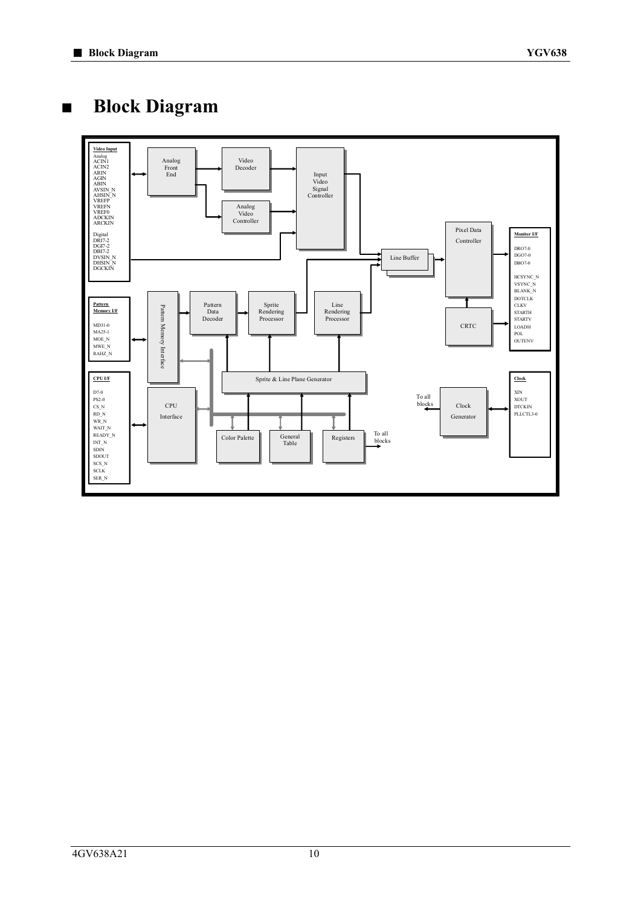**■ Block Diagram** 

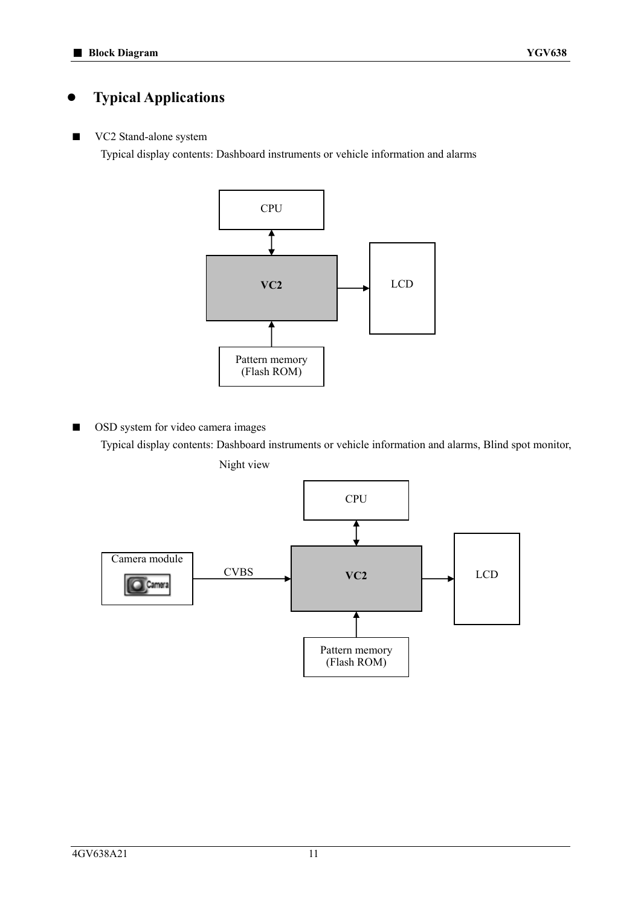### **● Typical Applications**

### ■ VC2 Stand-alone system

Typical display contents: Dashboard instruments or vehicle information and alarms



■ OSD system for video camera images

Typical display contents: Dashboard instruments or vehicle information and alarms, Blind spot monitor, Night view

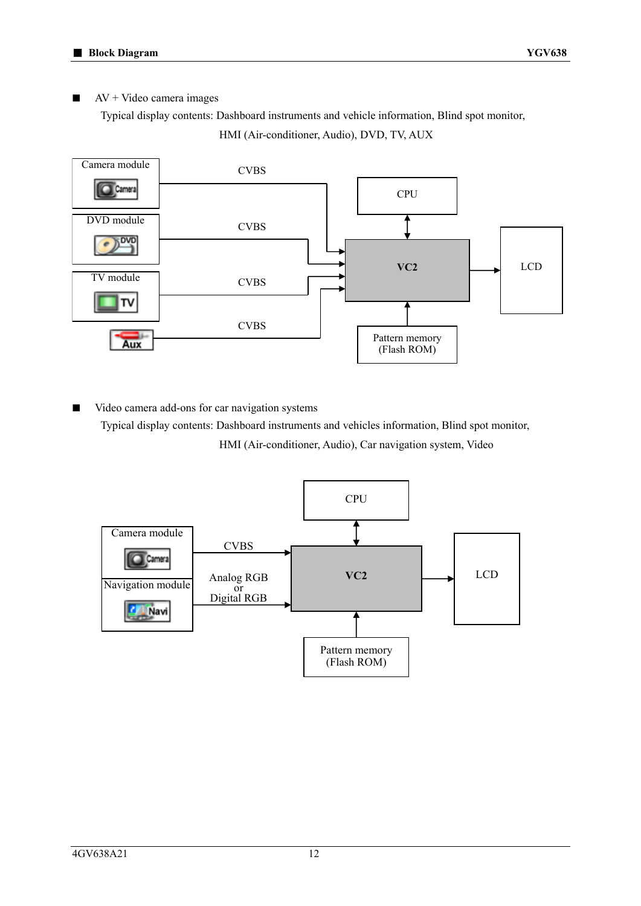$AV + Video camera images$ 

Typical display contents: Dashboard instruments and vehicle information, Blind spot monitor,

HMI (Air-conditioner, Audio), DVD, TV, AUX



Video camera add-ons for car navigation systems Typical display contents: Dashboard instruments and vehicles information, Blind spot monitor, HMI (Air-conditioner, Audio), Car navigation system, Video

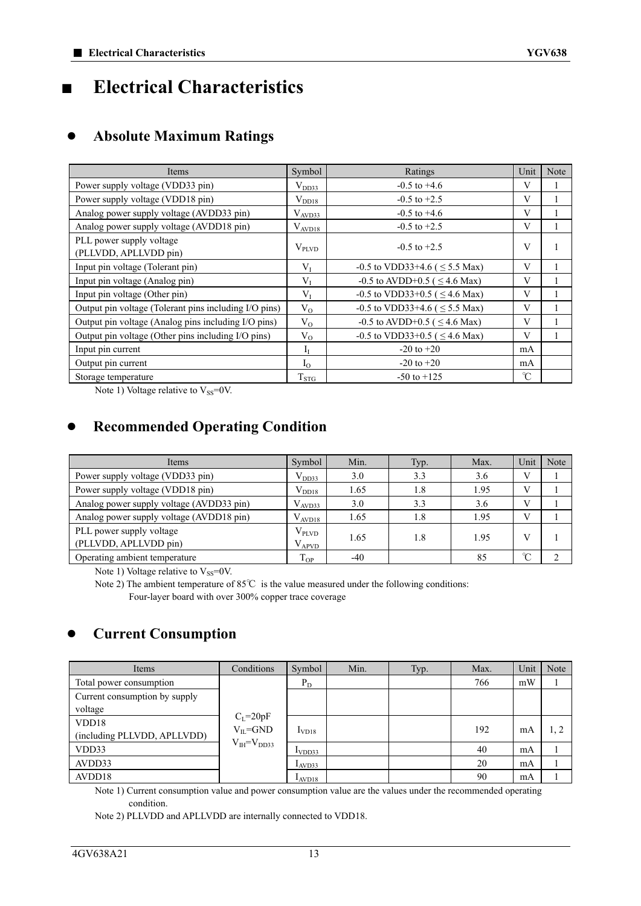### **■ Electrical Characteristics**

### **● Absolute Maximum Ratings**

| Items                                                 | Symbol            | Ratings                               | Unit          | Note |
|-------------------------------------------------------|-------------------|---------------------------------------|---------------|------|
| Power supply voltage (VDD33 pin)                      | $V_{DD33}$        | $-0.5$ to $+4.6$                      | V             |      |
| Power supply voltage (VDD18 pin)                      | $V_{DD18}$        | $-0.5$ to $+2.5$                      | V             |      |
| Analog power supply voltage (AVDD33 pin)              | $V_{AVD33}$       | $-0.5$ to $+4.6$                      | V             |      |
| Analog power supply voltage (AVDD18 pin)              | $V_{AVD18}$       | $-0.5$ to $+2.5$                      | V             |      |
| PLL power supply voltage<br>(PLLVDD, APLLVDD pin)     | $V_{\text{PLVD}}$ | $-0.5$ to $+2.5$                      | V             |      |
| Input pin voltage (Tolerant pin)                      | $V_{I}$           | $-0.5$ to VDD33+4.6 ( $\leq$ 5.5 Max) | V             |      |
| Input pin voltage (Analog pin)                        | $V_I$             | -0.5 to AVDD+0.5 ( $\leq$ 4.6 Max)    | V             |      |
| Input pin voltage (Other pin)                         | $V_I$             | $-0.5$ to VDD33+0.5 ( $\leq$ 4.6 Max) | V             |      |
| Output pin voltage (Tolerant pins including I/O pins) | $V_{O}$           | -0.5 to VDD33+4.6 ( $\leq$ 5.5 Max)   | V             |      |
| Output pin voltage (Analog pins including I/O pins)   | $V_{O}$           | -0.5 to AVDD+0.5 ( $\leq$ 4.6 Max)    | V             |      |
| Output pin voltage (Other pins including I/O pins)    | $V_{O}$           | $-0.5$ to VDD33+0.5 ( $\leq$ 4.6 Max) | V             |      |
| Input pin current                                     | $I_I$             | $-20$ to $+20$                        | mA            |      |
| Output pin current                                    | $I_{\Omega}$      | $-20$ to $+20$                        | mA            |      |
| Storage temperature                                   | $T_{STG}$         | $-50$ to $+125$                       | $\mathcal{C}$ |      |

Note 1) Voltage relative to  $V_{SS}=0V$ .

### **● Recommended Operating Condition**

| Items                                    | Symbol            | Min.  | Typ. | Max. | Unit         | Note |
|------------------------------------------|-------------------|-------|------|------|--------------|------|
| Power supply voltage (VDD33 pin)         | $V_{DD33}$        | 3.0   | 3.3  | 3.6  | $\mathbf{V}$ |      |
| Power supply voltage (VDD18 pin)         | $V_{DD18}$        | 1.65  | 1.8  | 1.95 | V            |      |
| Analog power supply voltage (AVDD33 pin) | $V_{AVD33}$       | 3.0   | 3.3  | 3.6  | $\mathbf{V}$ |      |
| Analog power supply voltage (AVDD18 pin) | $V_{AVD18}$       | 1.65  | 1.8  | 1.95 | V            |      |
| PLL power supply voltage                 | $V_{\text{PLVD}}$ | 1.65  |      | 1.95 | V            |      |
| (PLLVDD, APLLVDD pin)                    | $V_{APVD}$        |       | 1.8  |      |              |      |
| Operating ambient temperature            | I OP              | $-40$ |      | 85   | $\sim$       |      |

Note 1) Voltage relative to  $V_{SS}=0V$ .

Note 2) The ambient temperature of 85℃ is the value measured under the following conditions: Four-layer board with over 300% copper trace coverage

### **● Current Consumption**

| Items                         | Conditions          | Symbol             | Min. | Typ. | Max. | Unit | Note |
|-------------------------------|---------------------|--------------------|------|------|------|------|------|
| Total power consumption       |                     | $P_D$              |      |      | 766  | mW   |      |
| Current consumption by supply |                     |                    |      |      |      |      |      |
| voltage                       |                     |                    |      |      |      |      |      |
| VDD18                         | $C_{L}$ =20pF       |                    |      |      | 192  |      |      |
| (including PLLVDD, APLLVDD)   | $V_{IL}$ =GND       | I <sub>V</sub> D18 |      |      |      | mA   | 1, 2 |
| VDD33                         | $V_{IH} = V_{DD33}$ | I <sub>VDD33</sub> |      |      | 40   | mA   |      |
| AVDD33                        |                     | $I_{AVD33}$        |      |      | 20   | mA   |      |
| AVDD18                        |                     | I <sub>AVD18</sub> |      |      | 90   | mA   |      |

Note 1) Current consumption value and power consumption value are the values under the recommended operating condition.

Note 2) PLLVDD and APLLVDD are internally connected to VDD18.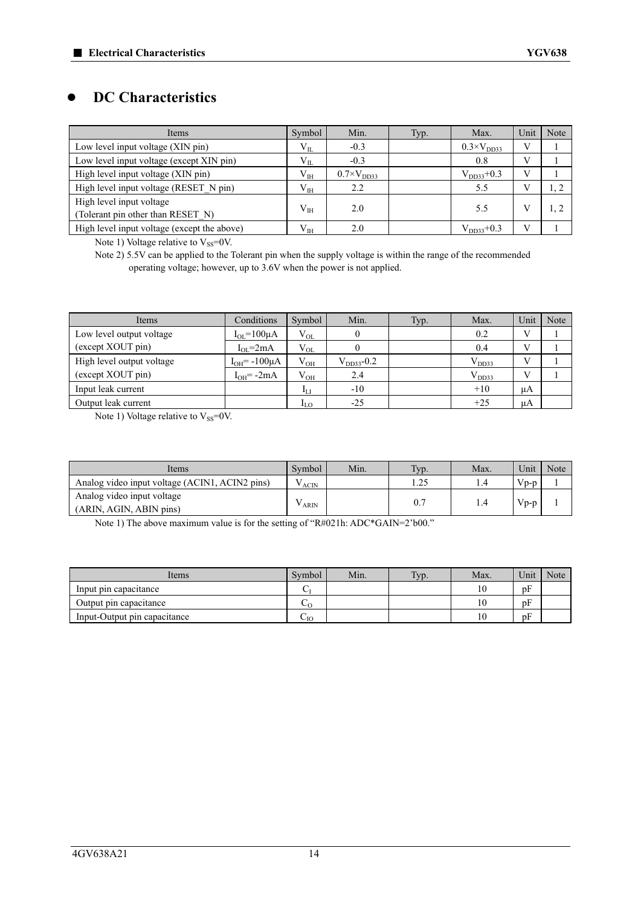### **● DC Characteristics**

| Items                                       | Symbol       | Min.                 | Typ. | Max.                 | Unit | Note |
|---------------------------------------------|--------------|----------------------|------|----------------------|------|------|
| Low level input voltage (XIN pin)           | $V_{IL}$     | $-0.3$               |      | $0.3\times V_{DD33}$ |      |      |
| Low level input voltage (except XIN pin)    | $V_{IL}$     | $-0.3$               |      | 0.8                  |      |      |
| High level input voltage (XIN pin)          | $\rm V_{IH}$ | $0.7\times V_{DD33}$ |      | $V_{DD33}+0.3$       |      |      |
| High level input voltage (RESET N pin)      | $V_{IH}$     | 2.2                  |      | 5.5                  |      |      |
| High level input voltage                    | $V_{IH}$     | 2.0                  |      | 5.5                  |      |      |
| (Tolerant pin other than RESET N)           |              |                      |      |                      |      |      |
| High level input voltage (except the above) | $\rm V_{IH}$ | 2.0                  |      | $V_{DD33}+0.3$       |      |      |

Note 1) Voltage relative to  $V_{SS}=0V$ .

Note 2) 5.5V can be applied to the Tolerant pin when the supply voltage is within the range of the recommended operating voltage; however, up to 3.6V when the power is not applied.

| Items                     | Conditions              | Symbol                     | Min.            | Typ. | Max.       | Unit | Note |
|---------------------------|-------------------------|----------------------------|-----------------|------|------------|------|------|
| Low level output voltage  | $I_{OL} = 100 \mu A$    | $V_{OL}$                   |                 |      | 0.2        |      |      |
| (except XOUT pin)         | $I_{OL} = 2mA$          | $V_{OL}$                   |                 |      | 0.4        |      |      |
| High level output voltage | $I_{OH}$ = -100 $\mu$ A | $V_{OH}$                   | $V_{DD33}$ -0.2 |      | $V_{DD33}$ |      |      |
| (except XOUT pin)         | $I_{OH} = -2mA$         | $V_{OH}$                   | 2.4             |      | $V_{DD33}$ |      |      |
| Input leak current        |                         | $I_{LI}$                   | $-10$           |      | $+10$      | μA   |      |
| Output leak current       |                         | $\mathbf{u}_{\mathrm{LO}}$ | $-25$           |      | $+25$      | μA   |      |

Note 1) Voltage relative to  $V_{SS}=0V$ .

| Items                                                 | Symbol     | Min. | Typ. | Max. | Unit      | Note |
|-------------------------------------------------------|------------|------|------|------|-----------|------|
| Analog video input voltage (ACIN1, ACIN2 pins)        | $V_{ACIN}$ |      | 1.25 | 4. ، | $V_{D-D}$ |      |
| Analog video input voltage<br>(ARIN, AGIN, ABIN pins) | ARIN       |      | 0.7  | l.4  | $Vp-p$    |      |

Note 1) The above maximum value is for the setting of "R#021h: ADC\*GAIN=2'b00."

| Items                        | Symbol                    | Min. | Typ. | Max. | Unit | Note |
|------------------------------|---------------------------|------|------|------|------|------|
| Input pin capacitance        |                           |      |      | l O  | pF   |      |
| Output pin capacitance       | $\mathsf{c}$              |      |      | 10   | pF   |      |
| Input-Output pin capacitance | $\mathcal{L}_{\text{IO}}$ |      |      | 10   | pF   |      |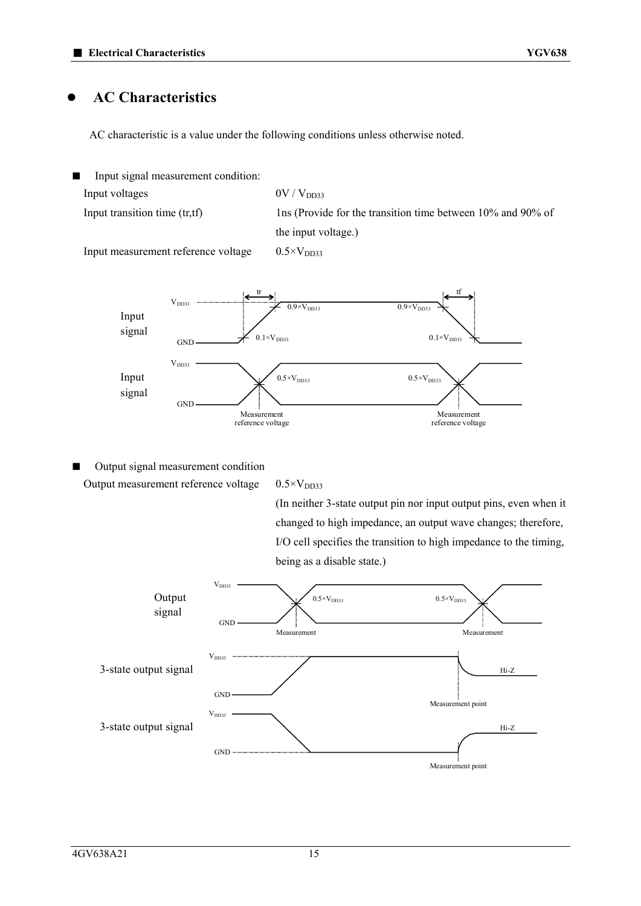### **● AC Characteristics**

AC characteristic is a value under the following conditions unless otherwise noted.





■ Output signal measurement condition Output measurement reference voltage  $0.5\times V<sub>DD33</sub>$ 

(In neither 3-state output pin nor input output pins, even when it changed to high impedance, an output wave changes; therefore, I/O cell specifies the transition to high impedance to the timing, being as a disable state.)

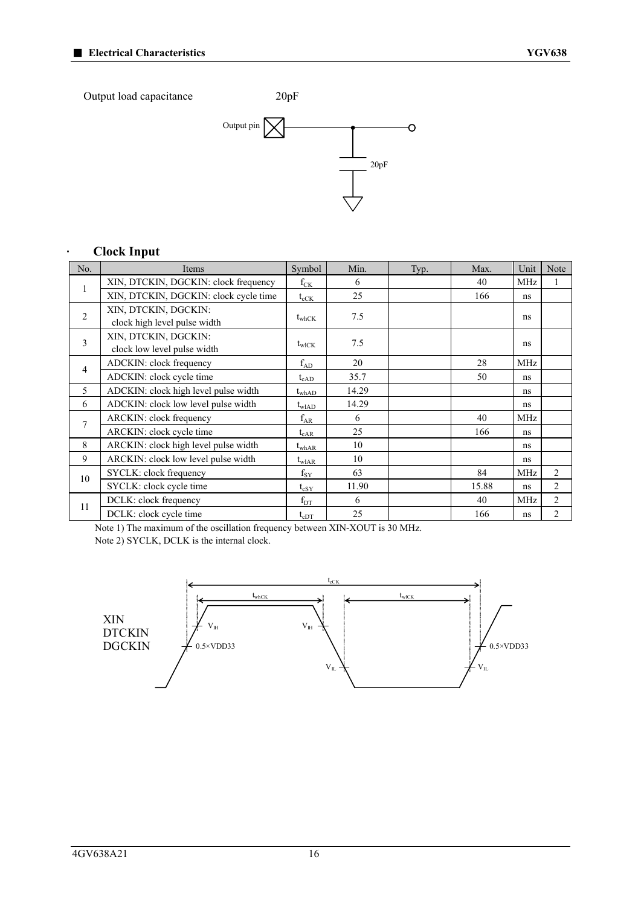

### **· Clock Input**

| No.            | Items                                                | Symbol            | Min.  | Typ. | Max.  | Unit       | Note           |
|----------------|------------------------------------------------------|-------------------|-------|------|-------|------------|----------------|
| 1              | XIN, DTCKIN, DGCKIN: clock frequency                 | $f_{CK}$          | 6     |      | 40    | <b>MHz</b> |                |
|                | XIN, DTCKIN, DGCKIN: clock cycle time                | $t_{cCK}$         | 25    |      | 166   | ns         |                |
| $\overline{2}$ | XIN, DTCKIN, DGCKIN:<br>clock high level pulse width | $t_{\text{whCK}}$ | 7.5   |      |       | ns         |                |
| 3              | XIN, DTCKIN, DGCKIN:<br>clock low level pulse width  | $t_{\text{wICK}}$ | 7.5   |      |       | ns         |                |
| 4              | ADCKIN: clock frequency                              | $f_{AD}$          | 20    |      | 28    | <b>MHz</b> |                |
|                | ADCKIN: clock cycle time                             | $t_{\rm cAD}$     | 35.7  |      | 50    | ns         |                |
| 5              | ADCKIN: clock high level pulse width                 | $t_{\rm whAD}$    | 14.29 |      |       | ns         |                |
| 6              | ADCKIN: clock low level pulse width                  | $t_{\text{wIAD}}$ | 14.29 |      |       | ns         |                |
| $\overline{7}$ | <b>ARCKIN:</b> clock frequency                       | $f_{AR}$          | 6     |      | 40    | <b>MHz</b> |                |
|                | ARCKIN: clock cycle time                             | $t_{cAR}$         | 25    |      | 166   | ns         |                |
| 8              | ARCKIN: clock high level pulse width                 | $t_{\rm whAR}$    | 10    |      |       | ns         |                |
| 9              | ARCKIN: clock low level pulse width                  | $t_{\rm wIAR}$    | 10    |      |       | ns         |                |
| 10             | SYCLK: clock frequency                               | $f_{SY}$          | 63    |      | 84    | <b>MHz</b> | $\overline{2}$ |
|                | SYCLK: clock cycle time                              | $t_{cSY}$         | 11.90 |      | 15.88 | ns         | $\overline{2}$ |
| 11             | DCLK: clock frequency                                | $f_{DT}$          | 6     |      | 40    | <b>MHz</b> | $\overline{2}$ |
|                | DCLK: clock cycle time                               | $t_{\rm cDT}$     | 25    |      | 166   | ns         | $\overline{c}$ |

Note 1) The maximum of the oscillation frequency between XIN-XOUT is 30 MHz. Note 2) SYCLK, DCLK is the internal clock.

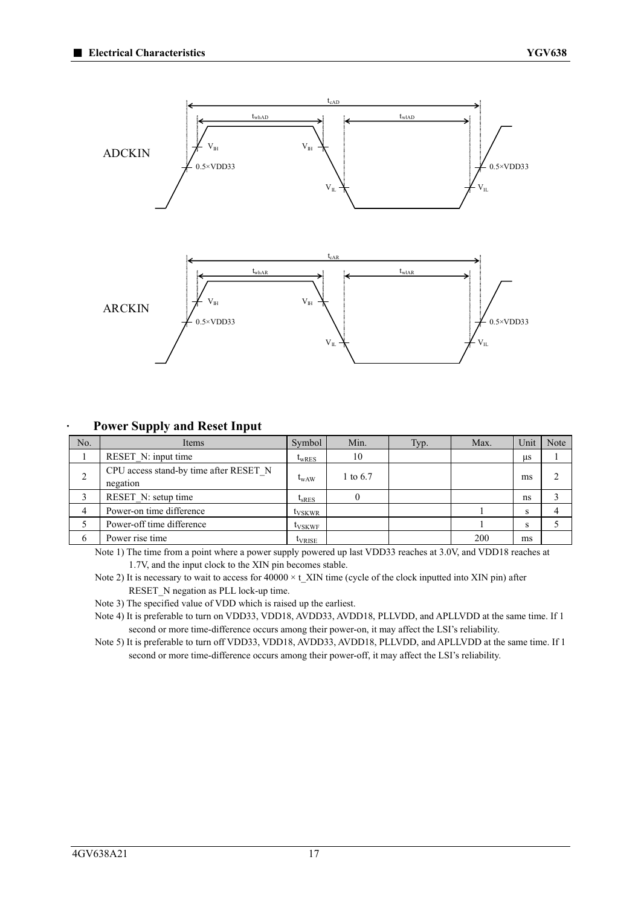

#### **· Power Supply and Reset Input**

| No. | Items                                              | Symbol             | Min.     | Typ. | Max. | Unit | <b>Note</b> |
|-----|----------------------------------------------------|--------------------|----------|------|------|------|-------------|
|     | RESET N: input time                                | $t_{WRES}$         | 10       |      |      | иs   |             |
| 2   | CPU access stand-by time after RESET N<br>negation | $t_{WAW}$          | 1 to 6.7 |      |      | ms   |             |
|     | RESET N: setup time                                | $t_{SRES}$         |          |      |      | ns   |             |
|     | Power-on time difference                           | t <sub>VSKWR</sub> |          |      |      | S    |             |
|     | Power-off time difference                          | t <sub>VSKWF</sub> |          |      |      | S    |             |
| 6   | Power rise time                                    | t <sub>VRISE</sub> |          |      | 200  | ms   |             |

Note 1) The time from a point where a power supply powered up last VDD33 reaches at 3.0V, and VDD18 reaches at 1.7V, and the input clock to the XIN pin becomes stable.

Note 2) It is necessary to wait to access for  $40000 \times t$ \_XIN time (cycle of the clock inputted into XIN pin) after RESET\_N negation as PLL lock-up time.

Note 3) The specified value of VDD which is raised up the earliest.

Note 4) It is preferable to turn on VDD33, VDD18, AVDD33, AVDD18, PLLVDD, and APLLVDD at the same time. If 1 second or more time-difference occurs among their power-on, it may affect the LSI's reliability.

Note 5) It is preferable to turn off VDD33, VDD18, AVDD33, AVDD18, PLLVDD, and APLLVDD at the same time. If 1 second or more time-difference occurs among their power-off, it may affect the LSI's reliability.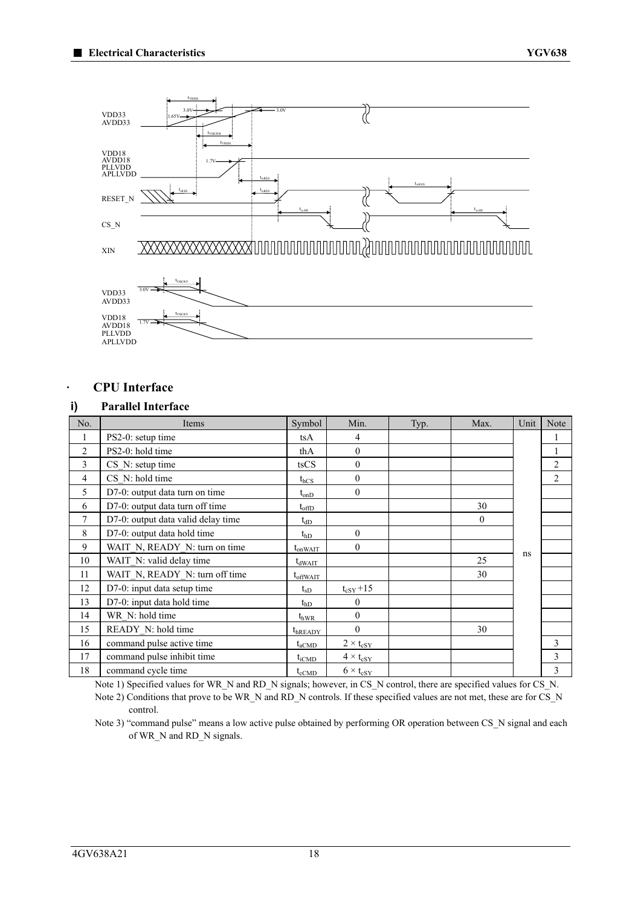

### **· CPU Interface**

### **i) Parallel Interface**

| No.            | Items                              | Symbol         | Min.               | Typ. | Max.           | Unit | Note           |
|----------------|------------------------------------|----------------|--------------------|------|----------------|------|----------------|
| 1              | PS2-0: setup time                  | tsA            | 4                  |      |                |      |                |
| $\overline{2}$ | PS2-0: hold time                   | thA            | $\theta$           |      |                |      |                |
| 3              | $CS$ N: setup time                 | tsCS           | $\theta$           |      |                |      | $\overline{2}$ |
| $\overline{4}$ | CS N: hold time                    | $t_{hCS}$      | $\theta$           |      |                |      | $\overline{2}$ |
| 5              | D7-0: output data turn on time     | $t_{onD}$      | $\theta$           |      |                |      |                |
| 6              | D7-0: output data turn off time    | $t_{offD}$     |                    |      | 30             |      |                |
| $\overline{7}$ | D7-0: output data valid delay time | $t_{dD}$       |                    |      | $\overline{0}$ |      |                |
| 8              | D7-0: output data hold time        | $t_{\rm hD}$   | $\theta$           |      |                |      |                |
| 9              | WAIT N, READY N: turn on time      | $t_{onWAIT}$   | $\theta$           |      |                |      |                |
| 10             | WAIT N: valid delay time           | $t_{dWAIT}$    |                    |      | 25             | ns   |                |
| 11             | WAIT N, READY N: turn off time     | $t_{offWAIT}$  |                    |      | 30             |      |                |
| 12             | D7-0: input data setup time        | $t_{SD}$       | $t_{cSY}$ +15      |      |                |      |                |
| 13             | D7-0: input data hold time         | $t_{\rm hD}$   | $\mathbf{0}$       |      |                |      |                |
| 14             | WR N: hold time                    | $t_{\rm hWR}$  | $\mathbf{0}$       |      |                |      |                |
| 15             | READY N: hold time                 | $t_{hREADV}$   | $\theta$           |      | 30             |      |                |
| 16             | command pulse active time          | $t_{\rm aCMD}$ | $2 \times t_{cSY}$ |      |                |      | 3              |
| 17             | command pulse inhibit time         | $t_{iCMD}$     | $4 \times t_{cSY}$ |      |                |      | 3              |
| 18             | command cycle time                 | $t_{\rm cCMD}$ | $6 \times t_{cSY}$ |      |                |      | 3              |

Note 1) Specified values for WR\_N and RD\_N signals; however, in CS\_N control, there are specified values for CS\_N. Note 2) Conditions that prove to be WR\_N and RD\_N controls. If these specified values are not met, these are for CS\_N control.

Note 3) "command pulse" means a low active pulse obtained by performing OR operation between CS\_N signal and each of WR\_N and RD\_N signals.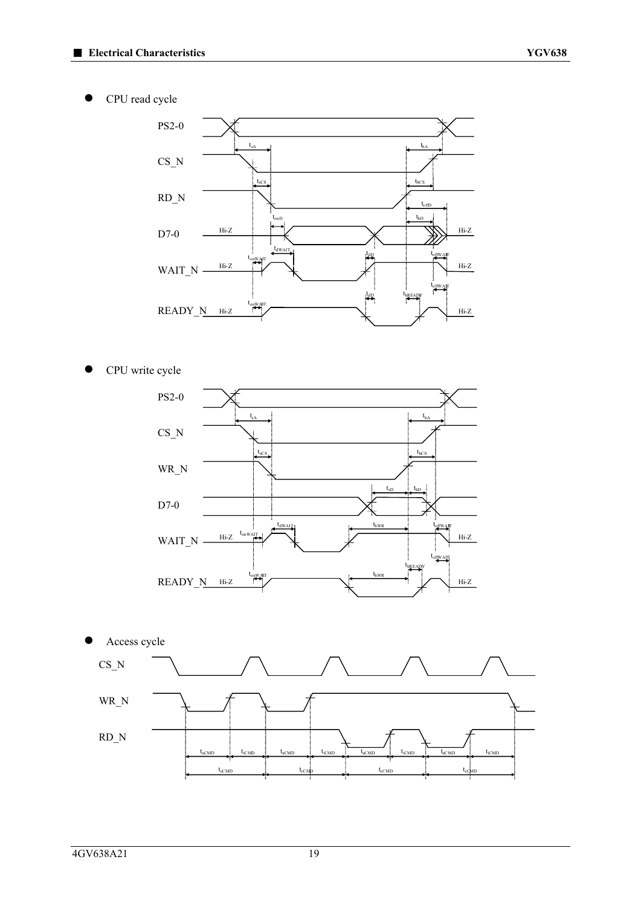CPU read cycle



● CPU write cycle



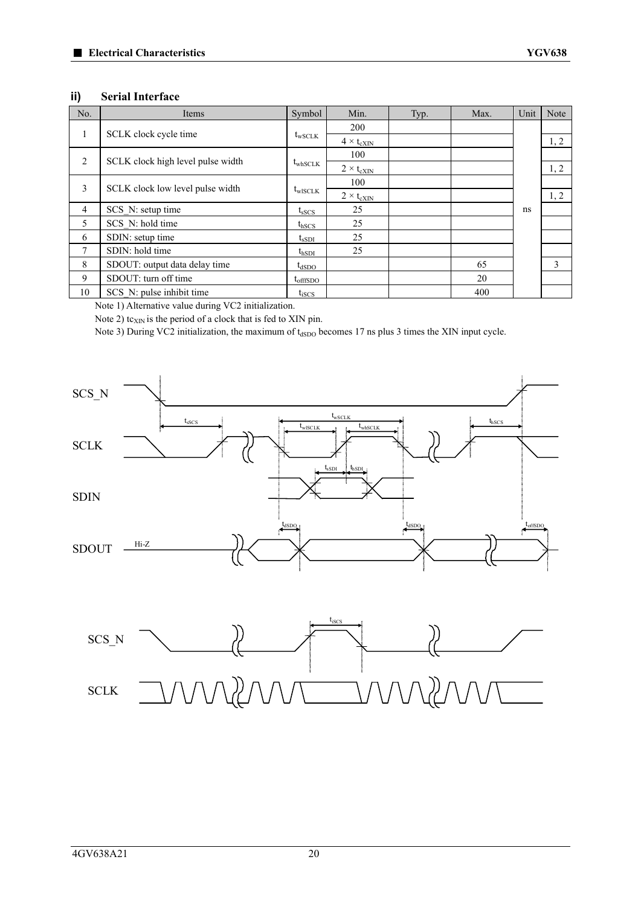#### **ii) Serial Interface**

| No.            | Items                             | Symbol              | Min.                | Typ. | Max. | Unit | Note |
|----------------|-----------------------------------|---------------------|---------------------|------|------|------|------|
|                |                                   |                     | 200                 |      |      |      |      |
| $\pm$          | SCLK clock cycle time             | $t_{\rm wSCLK}$     | $4 \times t_{cXIN}$ |      |      |      | 1, 2 |
| $\overline{2}$ | SCLK clock high level pulse width |                     | 100                 |      |      |      |      |
|                |                                   | $t_{\text{whSCLK}}$ | $2 \times t_{cXIN}$ |      |      |      | 1, 2 |
| 3              | SCLK clock low level pulse width  |                     | 100                 |      |      |      |      |
|                |                                   | $t_{\text{wISCLK}}$ | $2 \times t_{cXIN}$ |      |      |      | 1, 2 |
| 4              | SCS N: setup time                 | $t_{\rm sSCS}$      | 25                  |      |      | ns   |      |
| 5              | SCS N: hold time                  | $t_{\text{hSCS}}$   | 25                  |      |      |      |      |
| 6              | SDIN: setup time                  | $t_{\rm sSDI}$      | 25                  |      |      |      |      |
| 7              | SDIN: hold time                   | $t_{hSDI}$          | 25                  |      |      |      |      |
| 8              | SDOUT: output data delay time     | $t_{dSDO}$          |                     |      | 65   |      | 3    |
| 9              | SDOUT: turn off time              | $t_{\rm offISDO}$   |                     |      | 20   |      |      |
| 10             | SCS N: pulse inhibit time         | $t_{\rm iSCS}$      |                     |      | 400  |      |      |

Note 1) Alternative value during VC2 initialization.

Note 2) tc $_{XIN}$  is the period of a clock that is fed to XIN pin.

Note 3) During VC2 initialization, the maximum of t<sub>dSDO</sub> becomes 17 ns plus 3 times the XIN input cycle.



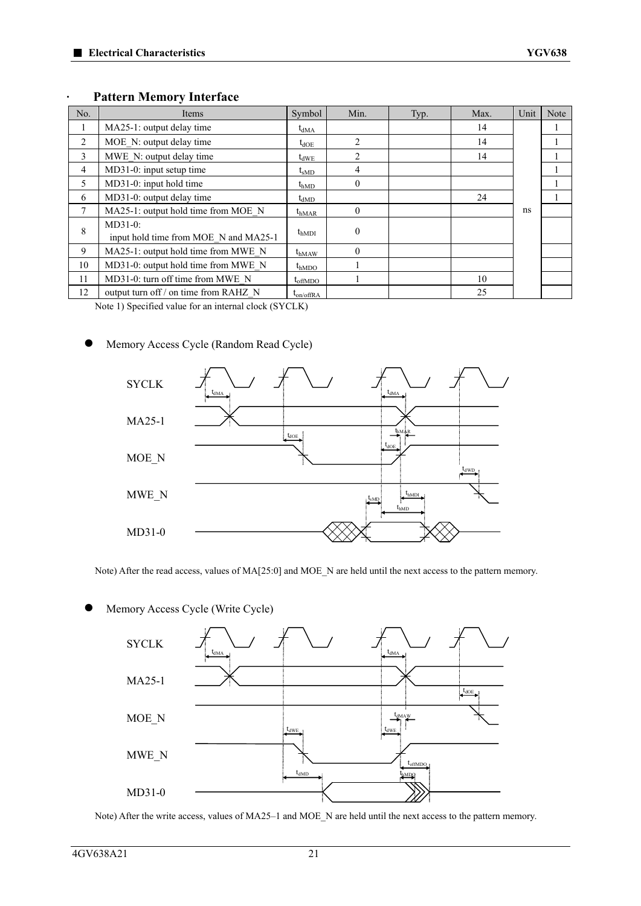| No.    | Items                                               | Symbol           | Min.           | Typ. | Max. | Unit | Note |
|--------|-----------------------------------------------------|------------------|----------------|------|------|------|------|
|        | MA25-1: output delay time                           | $t_{dMA}$        |                |      | 14   |      |      |
| 2      | MOE N: output delay time                            | $t_{\rm dOE}$    | 2              |      | 14   |      |      |
| 3      | MWE N: output delay time                            | $t_{dWE}$        | $\overline{c}$ |      | 14   |      |      |
| 4      | MD31-0: input setup time                            | $t_{\rm sMD}$    | 4              |      |      |      |      |
| 5      | MD31-0: input hold time                             | $t_{\rm hMD}$    | $\Omega$       |      |      |      |      |
| 6      | MD31-0: output delay time                           | $t_{dMD}$        |                |      | 24   |      |      |
| $\tau$ | MA25-1: output hold time from MOE N                 | $t_{hMAR}$       | $\Omega$       |      |      | ns   |      |
| 8      | $MD31-0$ :<br>input hold time from MOE N and MA25-1 | $t_{hMDI}$       | $\Omega$       |      |      |      |      |
| 9      | MA25-1: output hold time from MWE N                 | $t_{hMAW}$       | $\Omega$       |      |      |      |      |
| 10     | MD31-0: output hold time from MWE N                 | $t_{hMDO}$       |                |      |      |      |      |
| 11     | MD31-0: turn off time from MWE N                    | $t_{\rm offMDO}$ |                |      | 10   |      |      |
| 12     | output turn off / on time from RAHZ N               | $t_{on/offRA}$   |                |      | 25   |      |      |

#### **· Pattern Memory Interface**

Note 1) Specified value for an internal clock (SYCLK)

### Memory Access Cycle (Random Read Cycle)



Note) After the read access, values of MA[25:0] and MOE\_N are held until the next access to the pattern memory.

Memory Access Cycle (Write Cycle)



Note) After the write access, values of MA25–1 and MOE\_N are held until the next access to the pattern memory.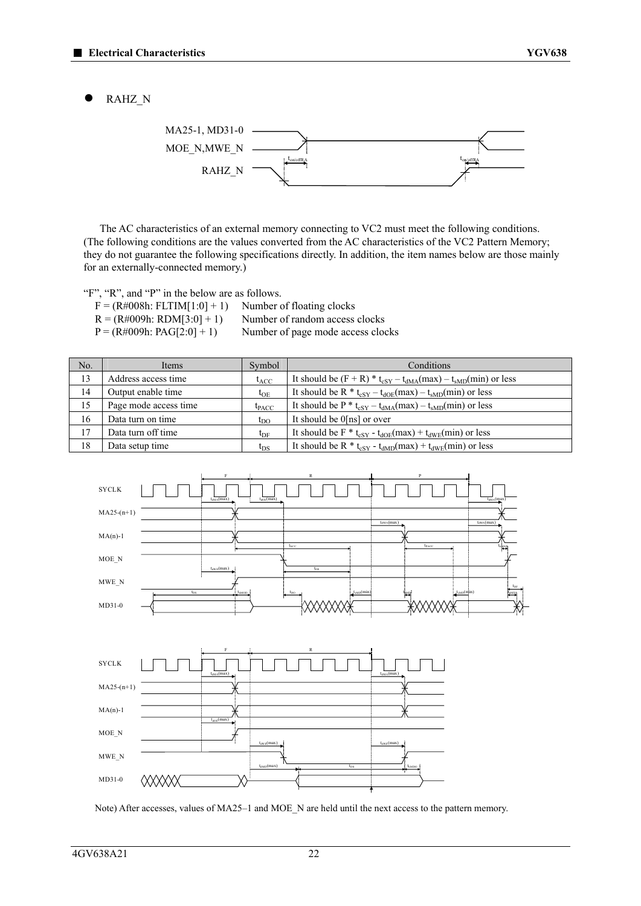RAHZ\_N



The AC characteristics of an external memory connecting to VC2 must meet the following conditions. (The following conditions are the values converted from the AC characteristics of the VC2 Pattern Memory; they do not guarantee the following specifications directly. In addition, the item names below are those mainly for an externally-connected memory.)

"F", "R", and "P" in the below are as follows.

| $F = (R\#008h: FLTIM[1:0]+1)$ | Number of floating clocks         |
|-------------------------------|-----------------------------------|
| $R = (R#009h: RDM[3:0]+1)$    | Number of random access clocks    |
| $P = (R\#009h: PAG[2:0]+1)$   | Number of page mode access clocks |

| No. | Items                 | Symbol       | Conditions                                                                                    |
|-----|-----------------------|--------------|-----------------------------------------------------------------------------------------------|
| 13  | Address access time   | $t_{ACC}$    | It should be $(F + R) * t_{cSY} - t_{dMA}(max) - t_{sMD}(min)$ or less                        |
| 14  | Output enable time    | $t_{OE}$     | It should be R $*$ t <sub>eSY</sub> – t <sub>dOE</sub> (max) – t <sub>sMD</sub> (min) or less |
| 15  | Page mode access time | $t_{PACC}$   | It should be $P * t_{cSY} - t_{dMA}(max) - t_{sMD}(min)$ or less                              |
| 16  | Data turn on time     | $t_{\rm DO}$ | It should be 0[ns] or over                                                                    |
| 17  | Data turn off time    | $t_{\rm DF}$ | It should be $F * t_{cSY} - t_{dOE}(max) + t_{dWE}(min)$ or less                              |
| 18  | Data setup time       | $t_{DS}$     | It should be R $*$ t <sub>eSY</sub> - t <sub>dMD</sub> (max) + t <sub>dWE</sub> (min) or less |



Note) After accesses, values of MA25–1 and MOE\_N are held until the next access to the pattern memory.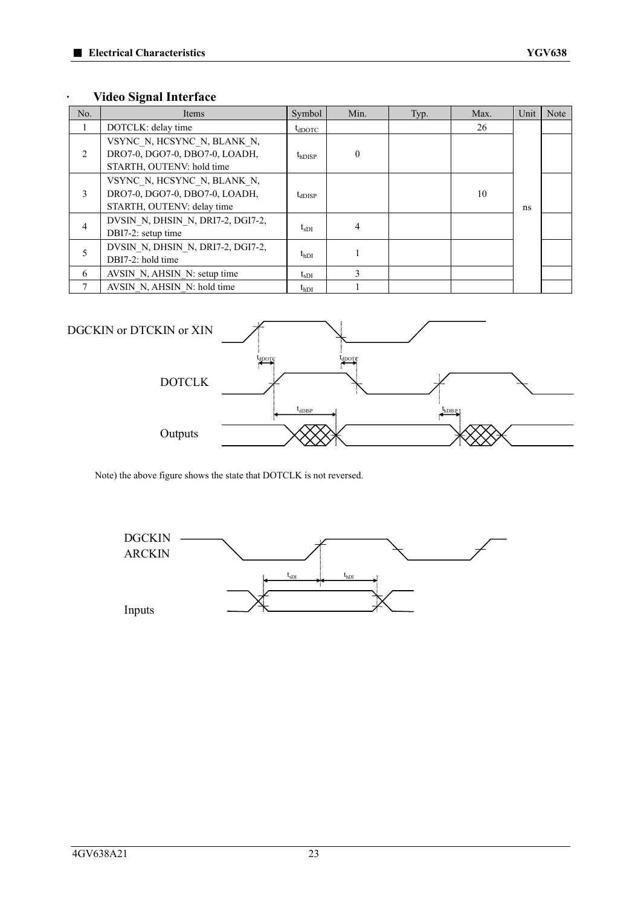### **· Video Signal Interface**

| No. | Items                                                                                       | Symbol             | Min.     | Typ. | Max. | Unit | Note |
|-----|---------------------------------------------------------------------------------------------|--------------------|----------|------|------|------|------|
|     | DOTCLK: delay time                                                                          | $t_{\text{dDOTC}}$ |          |      | 26   |      |      |
| 2   | VSYNC N, HCSYNC N, BLANK N,<br>DRO7-0, DGO7-0, DBO7-0, LOADH,<br>STARTH, OUTENV: hold time  | $t_{hDISP}$        | $\theta$ |      |      |      |      |
| 3   | VSYNC N, HCSYNC N, BLANK N,<br>DRO7-0, DGO7-0, DBO7-0, LOADH,<br>STARTH, OUTENV: delay time | $t_{dDISP}$        |          |      | 10   | ns   |      |
| 4   | DVSIN N, DHSIN N, DRI7-2, DGI7-2,<br>DBI7-2: setup time                                     | $t_{SDI}$          | 4        |      |      |      |      |
| 5   | DVSIN N, DHSIN N, DRI7-2, DGI7-2,<br>DBI7-2: hold time                                      | $t_{hDI}$          |          |      |      |      |      |
| 6   | AVSIN N, AHSIN N: setup time                                                                | $t_{\rm sDI}$      | 3        |      |      |      |      |
|     | AVSIN N, AHSIN N: hold time                                                                 | $t_{\rm hDI}$      |          |      |      |      |      |



Note) the above figure shows the state that DOTCLK is not reversed.

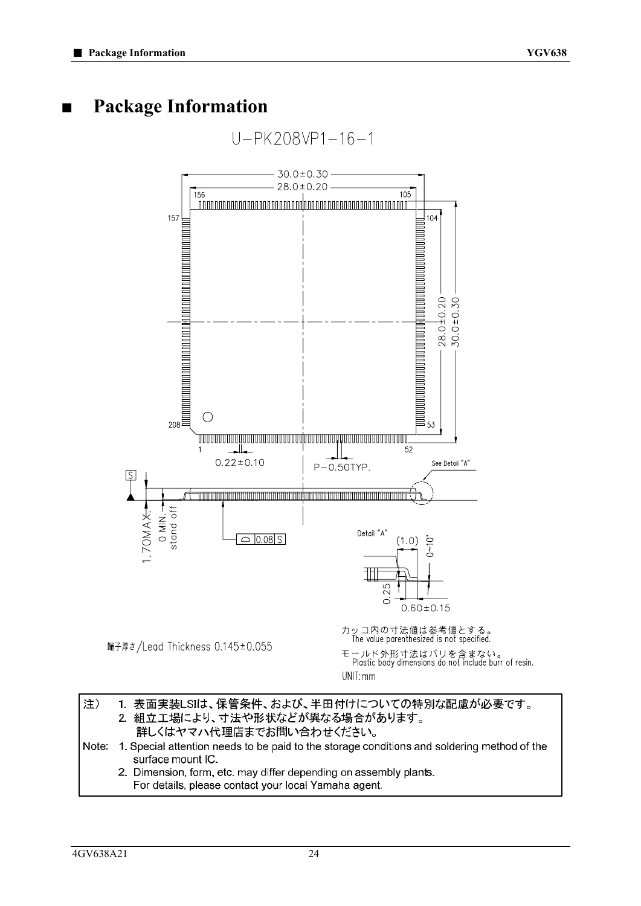### **■ Package Information**



| 注) | 1. 表面実装LSIは、保管条件、および、半田付けについての特別な配慮が必要です。                                                         |
|----|---------------------------------------------------------------------------------------------------|
|    | 2. 組立工場により、寸法や形状などが異なる場合があります。                                                                    |
|    | 詳しくはヤマハ代理店までお問い合わせください。                                                                           |
|    | Note: 1. Special attention needs to be paid to the storage conditions and soldering method of the |
|    | surface mount IC                                                                                  |
|    | 2. Dimension, form, etc. may differ depending on assembly plants.                                 |

For details, please contact your local Yamaha agent.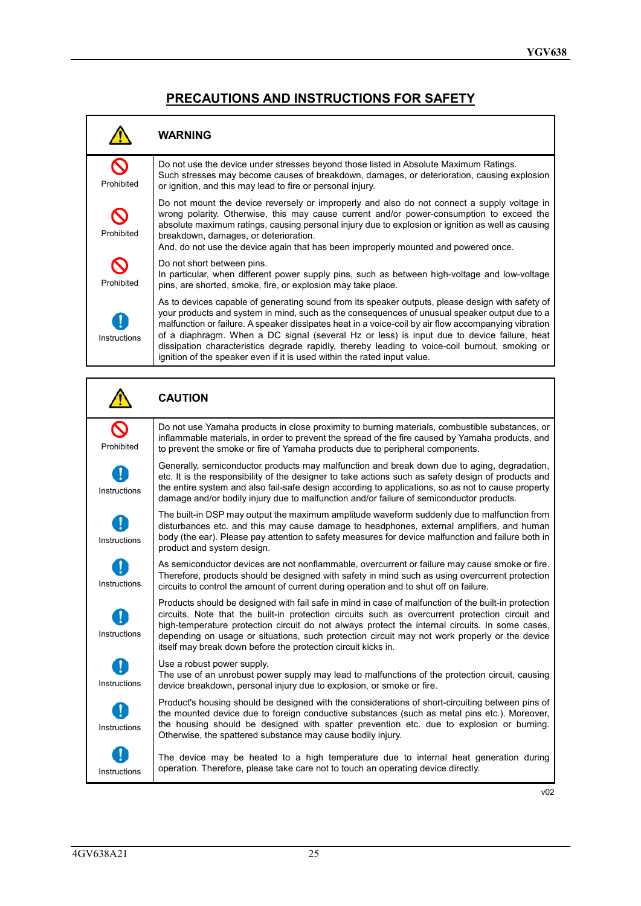### **PRECAUTIONS AND INSTRUCTIONS FOR SAFETY**

|              | <b>WARNING</b>                                                                                                                                                                                                                                                                                                                                                                                                                                                                                                                                                                        |
|--------------|---------------------------------------------------------------------------------------------------------------------------------------------------------------------------------------------------------------------------------------------------------------------------------------------------------------------------------------------------------------------------------------------------------------------------------------------------------------------------------------------------------------------------------------------------------------------------------------|
| Prohibited   | Do not use the device under stresses beyond those listed in Absolute Maximum Ratings.<br>Such stresses may become causes of breakdown, damages, or deterioration, causing explosion<br>or ignition, and this may lead to fire or personal injury.                                                                                                                                                                                                                                                                                                                                     |
| Prohibited   | Do not mount the device reversely or improperly and also do not connect a supply voltage in<br>wrong polarity. Otherwise, this may cause current and/or power-consumption to exceed the<br>absolute maximum ratings, causing personal injury due to explosion or ignition as well as causing<br>breakdown, damages, or deterioration.<br>And, do not use the device again that has been improperly mounted and powered once.                                                                                                                                                          |
| Prohibited   | Do not short between pins.<br>In particular, when different power supply pins, such as between high-voltage and low-voltage<br>pins, are shorted, smoke, fire, or explosion may take place.                                                                                                                                                                                                                                                                                                                                                                                           |
| Instructions | As to devices capable of generating sound from its speaker outputs, please design with safety of<br>your products and system in mind, such as the consequences of unusual speaker output due to a<br>malfunction or failure. A speaker dissipates heat in a voice-coil by air flow accompanying vibration<br>of a diaphragm. When a DC signal (several Hz or less) is input due to device failure, heat<br>dissipation characteristics degrade rapidly, thereby leading to voice-coil burnout, smoking or<br>ignition of the speaker even if it is used within the rated input value. |

|              | <b>CAUTION</b>                                                                                                                                                                                                                                                                                                                                                                                                                                                               |
|--------------|------------------------------------------------------------------------------------------------------------------------------------------------------------------------------------------------------------------------------------------------------------------------------------------------------------------------------------------------------------------------------------------------------------------------------------------------------------------------------|
| Prohibited   | Do not use Yamaha products in close proximity to burning materials, combustible substances, or<br>inflammable materials, in order to prevent the spread of the fire caused by Yamaha products, and<br>to prevent the smoke or fire of Yamaha products due to peripheral components.                                                                                                                                                                                          |
| Instructions | Generally, semiconductor products may malfunction and break down due to aging, degradation,<br>etc. It is the responsibility of the designer to take actions such as safety design of products and<br>the entire system and also fail-safe design according to applications, so as not to cause property<br>damage and/or bodily injury due to malfunction and/or failure of semiconductor products.                                                                         |
| Instructions | The built-in DSP may output the maximum amplitude waveform suddenly due to malfunction from<br>disturbances etc. and this may cause damage to headphones, external amplifiers, and human<br>body (the ear). Please pay attention to safety measures for device malfunction and failure both in<br>product and system design.                                                                                                                                                 |
| Instructions | As semiconductor devices are not nonflammable, overcurrent or failure may cause smoke or fire.<br>Therefore, products should be designed with safety in mind such as using overcurrent protection<br>circuits to control the amount of current during operation and to shut off on failure.                                                                                                                                                                                  |
| Instructions | Products should be designed with fail safe in mind in case of malfunction of the built-in protection<br>circuits. Note that the built-in protection circuits such as overcurrent protection circuit and<br>high-temperature protection circuit do not always protect the internal circuits. In some cases,<br>depending on usage or situations, such protection circuit may not work properly or the device<br>itself may break down before the protection circuit kicks in. |
| Instructions | Use a robust power supply.<br>The use of an unrobust power supply may lead to malfunctions of the protection circuit, causing<br>device breakdown, personal injury due to explosion, or smoke or fire.                                                                                                                                                                                                                                                                       |
| Instructions | Product's housing should be designed with the considerations of short-circuiting between pins of<br>the mounted device due to foreign conductive substances (such as metal pins etc.). Moreover,<br>the housing should be designed with spatter prevention etc. due to explosion or burning.<br>Otherwise, the spattered substance may cause bodily injury.                                                                                                                  |
| Instructions | The device may be heated to a high temperature due to internal heat generation during<br>operation. Therefore, please take care not to touch an operating device directly.                                                                                                                                                                                                                                                                                                   |

v02